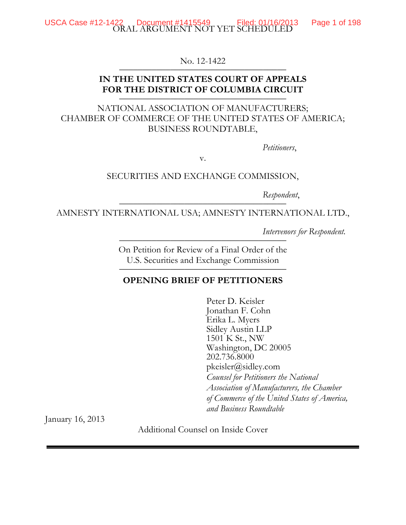USCA Case #12-1422 Document #1415549 Filed: 01/16/2013<br>ORAL ARGUMENT NOT YET SCHEDULED

Page 1 of 198

No. 12-1422

## IN THE UNITED STATES COURT OF APPEALS FOR THE DISTRICT OF COLUMBIA CIRCUIT

## NATIONAL ASSOCIATION OF MANUFACTURERS; CHAMBER OF COMMERCE OF THE UNITED STATES OF AMERICA; BUSINESS ROUNDTABLE,

Petitioners,

V.

### SECURITIES AND EXCHANGE COMMISSION,

Respondent,

AMNESTY INTERNATIONAL USA; AMNESTY INTERNATIONAL LTD.,

Intervenors for Respondent.

On Petition for Review of a Final Order of the U.S. Securities and Exchange Commission

### **OPENING BRIEF OF PETITIONERS**

Peter D. Keisler Jonathan F. Cohn Erika L. Myers Sidley Austin LLP 1501 K St., NW Washington, DC 20005 202.736.8000  $pkeisler@sidley.com$ Counsel for Petitioners the National Association of Manufacturers, the Chamber of Commerce of the United States of America, and Business Roundtable

January 16, 2013

Additional Counsel on Inside Cover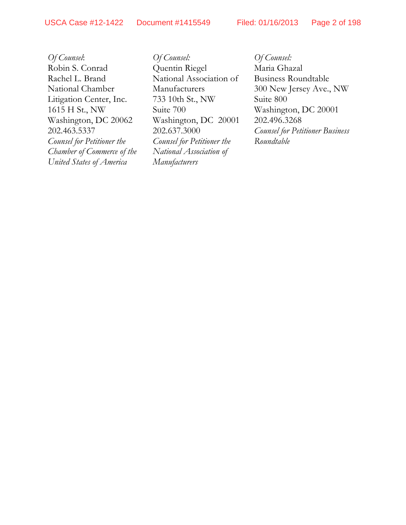ÀÕ›fl ›øª ˝ÔÓÛÔÏÓÓ ‹±½´³ª²¨ ˝ÔÏÔÎÎÏÁ ⁄·¥ªºÊ ðÔÒÔÍÒÓðÔÌ –ø¹ª Ó ±º ÔÁË

*Of Counsel*: Robin S. Conrad Rachel L. Brand National Chamber Litigation Center, Inc. 1615 H St., NW Washington, DC 20062 202.463.5337 *Counsel for Petitioner the Chamber of Commerce of the United States of America*

*Of Counsel:* Quentin Riegel National Association of Manufacturers 733 10th St., NW Suite 700 Washington, DC 20001 202.637.3000 *Counsel for Petitioner the National Association of Manufacturers*

*Of Counsel:* Maria Ghazal Business Roundtable 300 New Jersey Ave., NW Suite 800 Washington, DC 20001 202.496.3268 *Counsel for Petitioner Business Roundtable*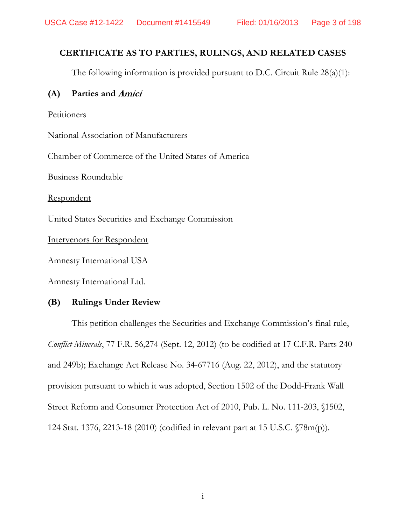## CERTIFICATE AS TO PARTIES, RULINGS, AND RELATED CASES

The following information is provided pursuant to D.C. Circuit Rule  $28(a)(1)$ :

#### $(A)$ Parties and Amici

### Petitioners

National Association of Manufacturers

Chamber of Commerce of the United States of America

**Business Roundtable** 

Respondent

United States Securities and Exchange Commission

Intervenors for Respondent

Amnesty International USA

Amnesty International Ltd.

#### (B) **Rulings Under Review**

This petition challenges the Securities and Exchange Commission's final rule, Conflict Minerals, 77 F.R. 56,274 (Sept. 12, 2012) (to be codified at 17 C.F.R. Parts 240 and 249b); Exchange Act Release No. 34-67716 (Aug. 22, 2012), and the statutory provision pursuant to which it was adopted, Section 1502 of the Dodd-Frank Wall Street Reform and Consumer Protection Act of 2010, Pub. L. No. 111-203, §1502, 124 Stat. 1376, 2213-18 (2010) (codified in relevant part at 15 U.S.C.  $\sqrt{78m(p)}$ ).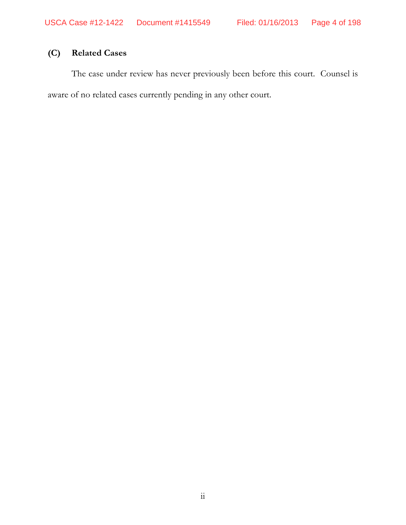#### **Related Cases**  $(C)$

The case under review has never previously been before this court. Counsel is aware of no related cases currently pending in any other court.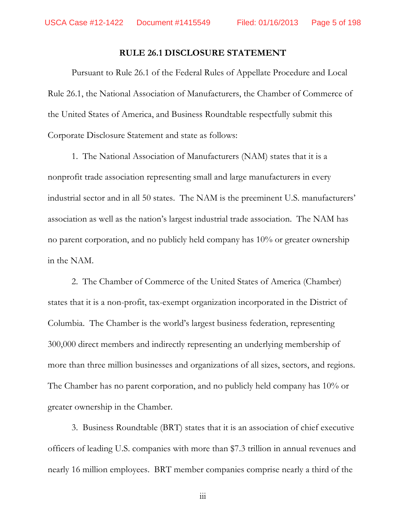#### **RULE 26.1 DISCLOSURE STATEMENT**

Pursuant to Rule 26.1 of the Federal Rules of Appellate Procedure and Local Rule 26.1, the National Association of Manufacturers, the Chamber of Commerce of the United States of America, and Business Roundtable respectfully submit this Corporate Disclosure Statement and state as follows:

1. The National Association of Manufacturers (NAM) states that it is a nonprofit trade association representing small and large manufacturers in every industrial sector and in all 50 states. The NAM is the preeminent U.S. manufacturers' association as well as the nation's largest industrial trade association. The NAM has no parent corporation, and no publicly held company has 10% or greater ownership in the NAM.

2. The Chamber of Commerce of the United States of America (Chamber) states that it is a non-profit, tax-exempt organization incorporated in the District of Columbia. The Chamber is the world's largest business federation, representing 300,000 direct members and indirectly representing an underlying membership of more than three million businesses and organizations of all sizes, sectors, and regions. The Chamber has no parent corporation, and no publicly held company has  $10\%$  or greater ownership in the Chamber.

3. Business Roundtable (BRT) states that it is an association of chief executive officers of leading U.S. companies with more than \$7.3 trillion in annual revenues and nearly 16 million employees. BRT member companies comprise nearly a third of the

 $\dddot{\mathbf{m}}$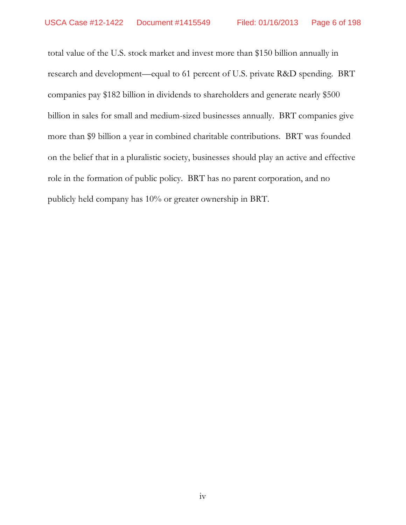total value of the U.S. stock market and invest more than \$150 billion annually in research and development—equal to 61 percent of U.S. private R&D spending. BRT companies pay \$182 billion in dividends to shareholders and generate nearly \$500 billion in sales for small and medium-sized businesses annually. BRT companies give more than \$9 billion a year in combined charitable contributions. BRT was founded on the belief that in a pluralistic society, businesses should play an active and effective role in the formation of public policy. BRT has no parent corporation, and no publicly held company has 10% or greater ownership in BRT.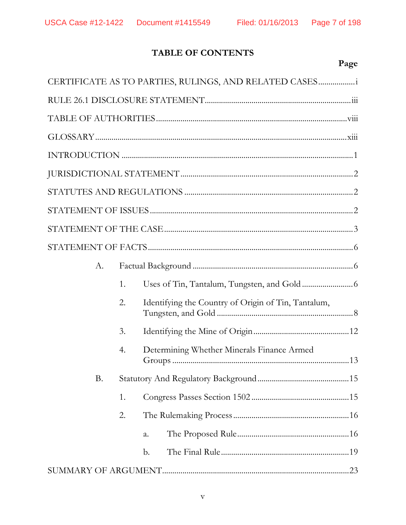# TABLE OF CONTENTS

# Page

|           |    | CERTIFICATE AS TO PARTIES, RULINGS, AND RELATED CASES |
|-----------|----|-------------------------------------------------------|
|           |    |                                                       |
|           |    |                                                       |
|           |    |                                                       |
|           |    |                                                       |
|           |    |                                                       |
|           |    |                                                       |
|           |    |                                                       |
|           |    |                                                       |
|           |    |                                                       |
| A.        |    |                                                       |
|           | 1. |                                                       |
|           | 2. | Identifying the Country of Origin of Tin, Tantalum,   |
|           | 3. |                                                       |
|           | 4. | Determining Whether Minerals Finance Armed            |
| <b>B.</b> |    |                                                       |
|           | 1. |                                                       |
|           | 2. |                                                       |
|           |    | a.                                                    |
|           |    | b.                                                    |
|           |    |                                                       |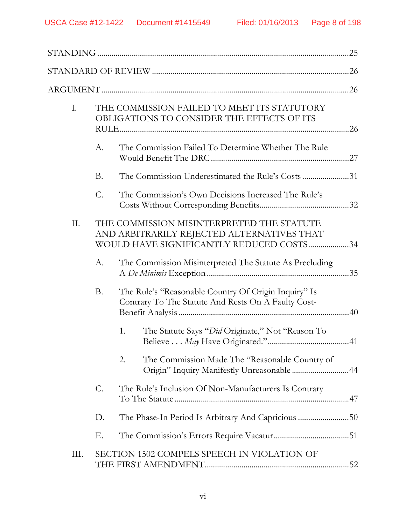| I.  |           | THE COMMISSION FAILED TO MEET ITS STATUTORY<br>OBLIGATIONS TO CONSIDER THE EFFECTS OF ITS                                           |  |
|-----|-----------|-------------------------------------------------------------------------------------------------------------------------------------|--|
|     | А.        | The Commission Failed To Determine Whether The Rule                                                                                 |  |
|     | <b>B.</b> | The Commission Underestimated the Rule's Costs31                                                                                    |  |
|     | C.        | The Commission's Own Decisions Increased The Rule's                                                                                 |  |
| II. |           | THE COMMISSION MISINTERPRETED THE STATUTE<br>AND ARBITRARILY REJECTED ALTERNATIVES THAT<br>WOULD HAVE SIGNIFICANTLY REDUCED COSTS34 |  |
|     | А.        | The Commission Misinterpreted The Statute As Precluding                                                                             |  |
|     | Β.        | The Rule's "Reasonable Country Of Origin Inquiry" Is<br>Contrary To The Statute And Rests On A Faulty Cost-                         |  |
|     |           | The Statute Says "Did Originate," Not "Reason To<br>1.                                                                              |  |
|     |           | The Commission Made The "Reasonable Country of<br>2.<br>Origin" Inquiry Manifestly Unreasonable  44                                 |  |
|     | C.        | The Rule's Inclusion Of Non-Manufacturers Is Contrary                                                                               |  |
|     | D.        |                                                                                                                                     |  |
|     | Е.        |                                                                                                                                     |  |
| Ш.  |           | SECTION 1502 COMPELS SPEECH IN VIOLATION OF                                                                                         |  |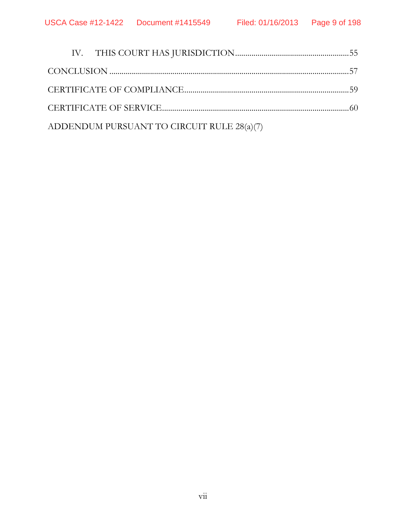|  | ADDENDUM PURSUANT TO CIRCUIT RULE 28(a)(7) |  |
|--|--------------------------------------------|--|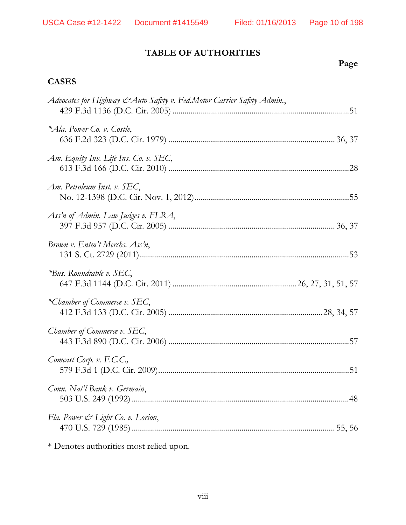# **TABLE OF AUTHORITIES**

# **Page**

## **CASES**

| Advocates for Highway & Auto Safety v. Fed.Motor Carrier Safety Admin., |  |
|-------------------------------------------------------------------------|--|
| *Ala. Power Co. v. Costle,                                              |  |
| Am. Equity Inv. Life Ins. Co. v. SEC,                                   |  |
| Am. Petroleum Inst. v. SEC,                                             |  |
| Ass'n of Admin. Law Judges v. FLRA,                                     |  |
| Brown v. Entm't Merchs. Ass'n,                                          |  |
| $*Bus$ . Roundtable v. SEC,                                             |  |
| *Chamber of Commerce v. SEC,                                            |  |
| Chamber of Commerce v. SEC,                                             |  |
| Comcast Corp. v. F.C.C.,                                                |  |
| Conn. Nat'l Bank v. Germain,                                            |  |
| Fla. Power & Light Co. v. Lorion,                                       |  |
|                                                                         |  |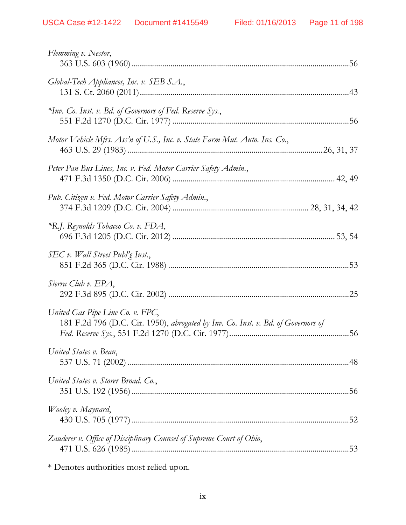| Flemming v. Nestor,                                                                                                   |  |
|-----------------------------------------------------------------------------------------------------------------------|--|
| Global-Tech Appliances, Inc. v. SEB S.A.,                                                                             |  |
| *Inv. Co. Inst. v. Bd. of Governors of Fed. Reserve Sys.,                                                             |  |
| Motor Vehicle Mfrs. Ass'n of U.S., Inc. v. State Farm Mut. Auto. Ins. Co.,                                            |  |
| Peter Pan Bus Lines, Inc. v. Fed. Motor Carrier Safety Admin.,                                                        |  |
| Pub. Citizen v. Fed. Motor Carrier Safety Admin.,                                                                     |  |
| *R.J. Reynolds Tobacco Co. v. FDA,                                                                                    |  |
| SEC v. Wall Street Publ'g Inst.,                                                                                      |  |
| Sierra Club v. EPA,                                                                                                   |  |
| United Gas Pipe Line Co. v. FPC,<br>181 F.2d 796 (D.C. Cir. 1950), abrogated by Inv. Co. Inst. v. Bd. of Governors of |  |
| United States v. Bean,                                                                                                |  |
| United States v. Storer Broad. Co.,                                                                                   |  |
| Wooley v. Maynard,                                                                                                    |  |
| Zauderer v. Office of Disciplinary Counsel of Supreme Court of Ohio,                                                  |  |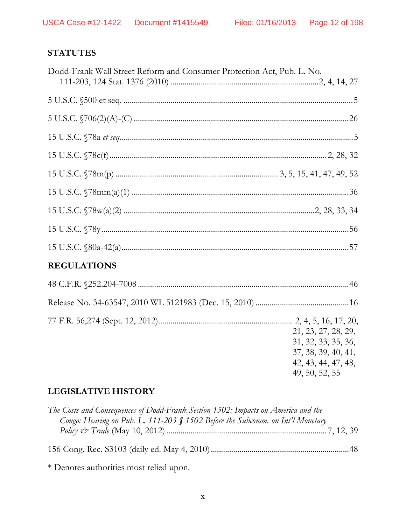# **STATUTES**

| Dodd-Frank Wall Street Reform and Consumer Protection Act, Pub. L. No. |                                                                   |
|------------------------------------------------------------------------|-------------------------------------------------------------------|
|                                                                        |                                                                   |
|                                                                        |                                                                   |
|                                                                        |                                                                   |
|                                                                        |                                                                   |
|                                                                        |                                                                   |
|                                                                        |                                                                   |
|                                                                        |                                                                   |
|                                                                        |                                                                   |
|                                                                        |                                                                   |
|                                                                        |                                                                   |
| <b>REGULATIONS</b>                                                     |                                                                   |
|                                                                        |                                                                   |
|                                                                        |                                                                   |
|                                                                        | 21, 23, 27, 28, 29,<br>31, 32, 33, 35, 36,<br>37, 38, 39, 40, 41, |

 $42, 43, 44, 47, 48,$ 49, 50, 52, 55

# **LEGISLATIVE HISTORY**

| The Costs and Consequences of Dodd-Frank Section 1502: Impacts on America and the |  |
|-----------------------------------------------------------------------------------|--|
| Congo: Hearing on Pub. L. 111-203 § 1502 Before the Subcomm. on Int'l Monetary    |  |
|                                                                                   |  |
|                                                                                   |  |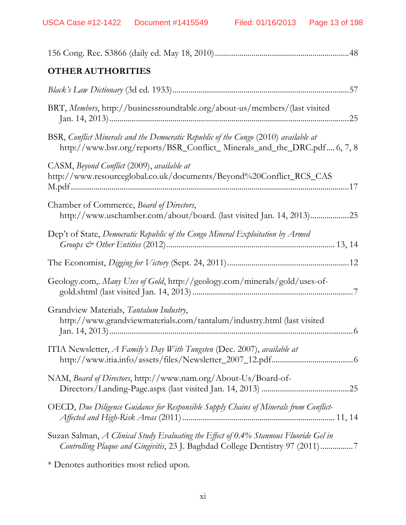| <b>OTHER AUTHORITIES</b>                                                                                                                                               |
|------------------------------------------------------------------------------------------------------------------------------------------------------------------------|
|                                                                                                                                                                        |
| BRT, Members, http://businessroundtable.org/about-us/members/(last visited                                                                                             |
| BSR, Conflict Minerals and the Democratic Republic of the Congo (2010) available at<br>http://www.bsr.org/reports/BSR_Conflict_Minerals_and_the_DRC.pdf 6, 7, 8        |
| CASM, Beyond Conflict (2009), available at<br>http://www.resourceglobal.co.uk/documents/Beyond%20Conflict_RCS_CAS                                                      |
| Chamber of Commerce, Board of Directors,<br>http://www.uschamber.com/about/board. (last visited Jan. 14, 2013)25                                                       |
| Dep't of State, Democratic Republic of the Congo Mineral Exploitation by Armed                                                                                         |
|                                                                                                                                                                        |
| Geology.com,. Many Uses of Gold, http://geology.com/minerals/gold/uses-of-                                                                                             |
| Grandview Materials, Tantalum Industry,<br>http://www.grandviewmaterials.com/tantalum/industry.html (last visited                                                      |
| ITIA Newsletter, A Family's Day With Tungsten (Dec. 2007), available at                                                                                                |
| NAM, Board of Directors, http://www.nam.org/About-Us/Board-of-                                                                                                         |
| OECD, Due Diligence Guidance for Responsible Supply Chains of Minerals from Conflict-                                                                                  |
| Suzan Salman, A Clinical Study Evaluating the Effect of 0.4% Stannous Fluoride Gel in<br>Controlling Plaque and Gingivitis, 23 J. Baghdad College Dentistry 97 (2011)7 |
|                                                                                                                                                                        |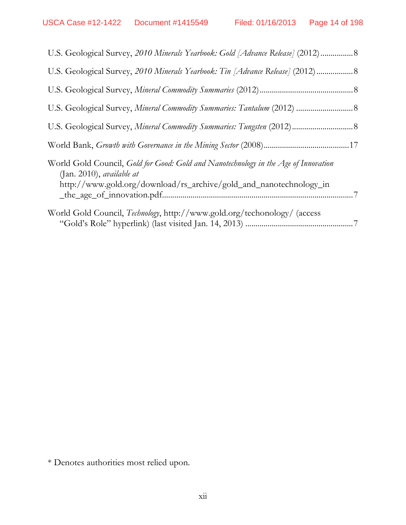| U.S. Geological Survey, 2010 Minerals Yearbook: Gold [Advance Release] (2012) 8                                                                                                                  |  |
|--------------------------------------------------------------------------------------------------------------------------------------------------------------------------------------------------|--|
| U.S. Geological Survey, 2010 Minerals Yearbook: Tin [Advance Release] (2012) 8                                                                                                                   |  |
|                                                                                                                                                                                                  |  |
| U.S. Geological Survey, Mineral Commodity Summaries: Tantalum (2012)  8                                                                                                                          |  |
|                                                                                                                                                                                                  |  |
|                                                                                                                                                                                                  |  |
| World Gold Council, Gold for Good: Gold and Nanotechnology in the Age of Innovation<br>$($ Jan. 2010), <i>available at</i><br>http://www.gold.org/download/rs_archive/gold_and_nanotechnology_in |  |
| World Gold Council, Technology, http://www.gold.org/techonology/ (access                                                                                                                         |  |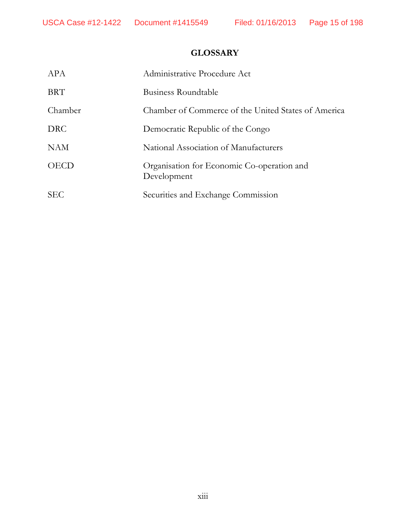# **GLOSSARY**

| APA         | Administrative Procedure Act                              |
|-------------|-----------------------------------------------------------|
| <b>BRT</b>  | Business Roundtable                                       |
| Chamber     | Chamber of Commerce of the United States of America       |
| <b>DRC</b>  | Democratic Republic of the Congo                          |
| <b>NAM</b>  | National Association of Manufacturers                     |
| <b>OECD</b> | Organisation for Economic Co-operation and<br>Development |
| <b>SEC</b>  | Securities and Exchange Commission                        |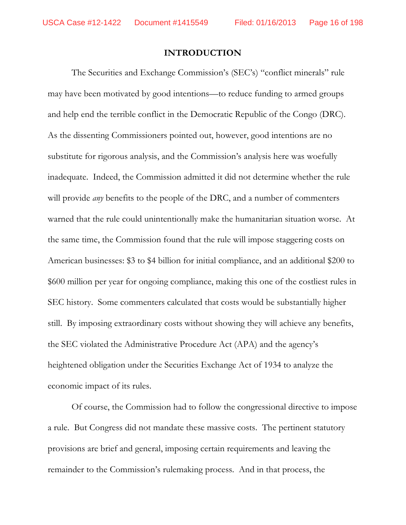#### **INTRODUCTION**

The Securities and Exchange Commission's (SEC's) "conflict minerals" rule may have been motivated by good intentions—to reduce funding to armed groups and help end the terrible conflict in the Democratic Republic of the Congo (DRC). As the dissenting Commissioners pointed out, however, good intentions are no substitute for rigorous analysis, and the Commission's analysis here was woefully inadequate. Indeed, the Commission admitted it did not determine whether the rule will provide *any* benefits to the people of the DRC, and a number of commenters warned that the rule could unintentionally make the humanitarian situation worse. At the same time, the Commission found that the rule will impose staggering costs on American businesses: \$3 to \$4 billion for initial compliance, and an additional \$200 to \$600 million per year for ongoing compliance, making this one of the costliest rules in SEC history. Some commenters calculated that costs would be substantially higher still. By imposing extraordinary costs without showing they will achieve any benefits, the SEC violated the Administrative Procedure Act (APA) and the agency's heightened obligation under the Securities Exchange Act of 1934 to analyze the economic impact of its rules.

Of course, the Commission had to follow the congressional directive to impose a rule. But Congress did not mandate these massive costs. The pertinent statutory provisions are brief and general, imposing certain requirements and leaving the remainder to the Commission's rulemaking process. And in that process, the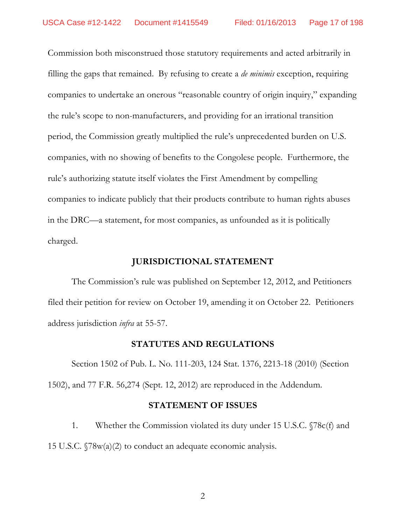Commission both misconstrued those statutory requirements and acted arbitrarily in filling the gaps that remained. By refusing to create a *de minimis* exception, requiring companies to undertake an onerous "reasonable country of origin inquiry," expanding the rule's scope to non-manufacturers, and providing for an irrational transition period, the Commission greatly multiplied the rule's unprecedented burden on U.S. companies, with no showing of benefits to the Congolese people. Furthermore, the rule's authorizing statute itself violates the First Amendment by compelling companies to indicate publicly that their products contribute to human rights abuses in the DRC—a statement, for most companies, as unfounded as it is politically charged.

### **JURISDICTIONAL STATEMENT**

The Commission's rule was published on September 12, 2012, and Petitioners filed their petition for review on October 19, amending it on October 22. Petitioners address jurisdiction *infra* at 55-57.

### **STATUTES AND REGULATIONS**

Section 1502 of Pub. L. No. 111-203, 124 Stat. 1376, 2213-18 (2010) (Section 1502), and 77 F.R. 56,274 (Sept. 12, 2012) are reproduced in the Addendum.

#### **STATEMENT OF ISSUES**

1. Whether the Commission violated its duty under 15 U.S.C.  $\sqrt{78c(f)}$  and 15 U.S.C.  $\sqrt{78}w(a)(2)$  to conduct an adequate economic analysis.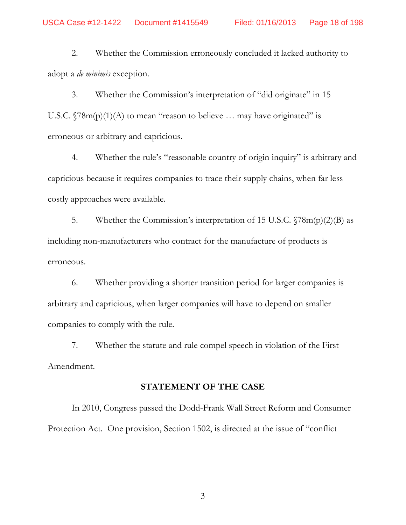2. Whether the Commission erroneously concluded it lacked authority to adopt a *de minimis* exception.

3. Whether the Commission's interpretation of "did originate" in 15 U.S.C.  $\sqrt{78m(p)(1)(A)}$  to mean "reason to believe ... may have originated" is erroneous or arbitrary and capricious.

4. Whether the rule's "reasonable country of origin inquiry" is arbitrary and capricious because it requires companies to trace their supply chains, when far less costly approaches were available.

5. Whether the Commission's interpretation of 15 U.S.C.  $\sqrt{78m(p)(2)}$  as including non-manufacturers who contract for the manufacture of products is erroneous.

6. Whether providing a shorter transition period for larger companies is arbitrary and capricious, when larger companies will have to depend on smaller companies to comply with the rule.

7. Whether the statute and rule compel speech in violation of the First Amendment.

### **STATEMENT OF THE CASE**

In 2010, Congress passed the Dodd-Frank Wall Street Reform and Consumer Protection Act. One provision, Section 1502, is directed at the issue of "conflict"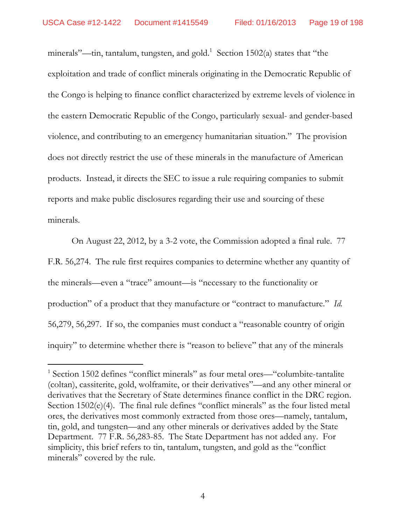minerals"—tin, tantalum, tungsten, and gold.<sup>1</sup> Section 1502(a) states that "the exploitation and trade of conflict minerals originating in the Democratic Republic of the Congo is helping to finance conflict characterized by extreme levels of violence in the eastern Democratic Republic of the Congo, particularly sexual- and gender-based violence, and contributing to an emergency humanitarian situation." The provision does not directly restrict the use of these minerals in the manufacture of American products. Instead, it directs the SEC to issue a rule requiring companies to submit reports and make public disclosures regarding their use and sourcing of these minerals.

On August 22, 2012, by a 3-2 vote, the Commission adopted a final rule. 77 F.R. 56,274. The rule first requires companies to determine whether any quantity of the minerals—even a "trace" amount—is "necessary to the functionality or production" of a product that they manufacture or "contract to manufacture." *Id.* 56,279, 56,297. If so, the companies must conduct a "reasonable country of origin inquiry" to determine whether there is "reason to believe" that any of the minerals

 $1$  Section 1502 defines "conflict minerals" as four metal ores—"columbite-tantalite (coltan), cassiterite, gold, wolframite, or their derivatives"-and any other mineral or derivatives that the Secretary of State determines finance conflict in the DRC region. Section  $1502(e)(4)$ . The final rule defines "conflict minerals" as the four listed metal ores, the derivatives most commonly extracted from those ores—namely, tantalum, tin, gold, and tungsten—and any other minerals or derivatives added by the State Department. 77 F.R. 56,283-85. The State Department has not added any. For simplicity, this brief refers to tin, tantalum, tungsten, and gold as the "conflict" minerals" covered by the rule.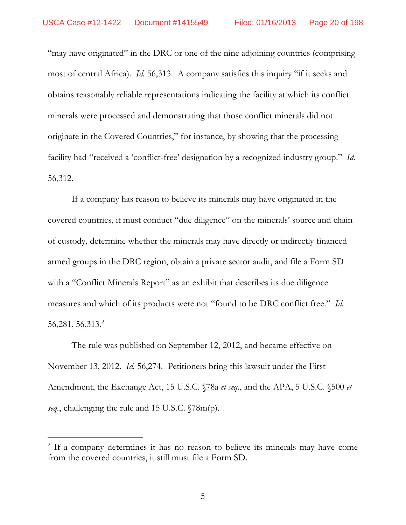"may have originated" in the DRC or one of the nine adjoining countries (comprising most of central Africa). *Id.* 56,313. A company satisfies this inquiry "if it seeks and obtains reasonably reliable representations indicating the facility at which its conflict minerals were processed and demonstrating that those conflict minerals did not originate in the Covered Countries," for instance, by showing that the processing facility had "received a 'conflict-free' designation by a recognized industry group." *Id.* 56,312.

If a company has reason to believe its minerals may have originated in the covered countries, it must conduct "due diligence" on the minerals' source and chain of custody, determine whether the minerals may have directly or indirectly financed armed groups in the DRC region, obtain a private sector audit, and file a Form SD with a "Conflict Minerals Report" as an exhibit that describes its due diligence measures and which of its products were not "found to be DRC conflict free." *Id.* 56,281, 56,313.<sup>2</sup>

The rule was published on September 12, 2012, and became effective on November 13, 2012. *Id.* 56,274. Petitioners bring this lawsuit under the First Amendment, the Exchange Act, 15 U.S.C. §78a *et seq.*, and the APA, 5 U.S.C. §500 *et seq.*, challenging the rule and 15 U.S.C. §78m(p).

<sup>&</sup>lt;sup>2</sup> If a company determines it has no reason to believe its minerals may have come from the covered countries, it still must file a Form SD.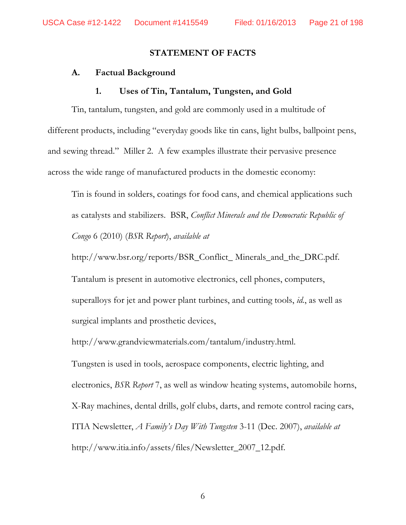#### **STATEMENT OF FACTS**

#### **A. Factual Background**

#### **1. Uses of Tin, Tantalum, Tungsten, and Gold**

Tin, tantalum, tungsten, and gold are commonly used in a multitude of different products, including "everyday goods like tin cans, light bulbs, ballpoint pens, and sewing thread." Miller 2. A few examples illustrate their pervasive presence across the wide range of manufactured products in the domestic economy:

Tin is found in solders, coatings for food cans, and chemical applications such as catalysts and stabilizers. BSR, *Conflict Minerals and the Democratic Republic of Congo* 6 (2010) (*BSR Report*), *available at*

http://www.bsr.org/reports/BSR\_Conflict\_ Minerals\_and\_the\_DRC.pdf.

Tantalum is present in automotive electronics, cell phones, computers, superalloys for jet and power plant turbines, and cutting tools, *id.*, as well as surgical implants and prosthetic devices,

http://www.grandviewmaterials.com/tantalum/industry.html.

Tungsten is used in tools, aerospace components, electric lighting, and electronics, *BSR Report* 7, as well as window heating systems, automobile horns, X-Ray machines, dental drills, golf clubs, darts, and remote control racing cars, ITIA Newsletter, *A Family's Day With Tungsten* 3-11 (Dec. 2007), *available at* http://www.itia.info/assets/files/Newsletter\_2007\_12.pdf.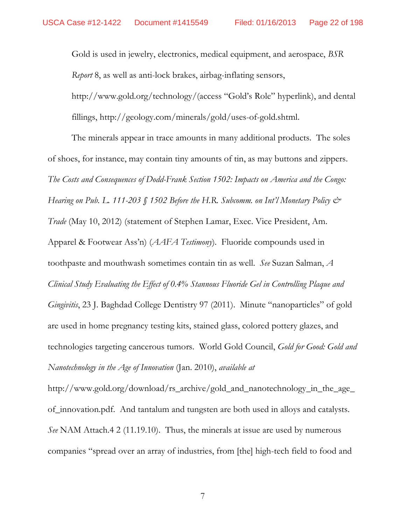Gold is used in jewelry, electronics, medical equipment, and aerospace, BSR *Report* 8, as well as anti-lock brakes, airbag-inflating sensors,

http://www.gold.org/technology/(access "Gold's Role" hyperlink), and dental fillings, http://geology.com/minerals/gold/uses-of-gold.shtml.

The minerals appear in trace amounts in many additional products. The soles of shoes, for instance, may contain tiny amounts of tin, as may buttons and zippers. The Costs and Consequences of Dodd-Frank Section 1502: Impacts on America and the Congo: Hearing on Pub. L. 111-203 § 1502 Before the H.R. Subcomm. on Int'l Monetary Policy  $\mathcal{Q}^*$ *Trade* (May 10, 2012) (statement of Stephen Lamar, Exec. Vice President, Am. Apparel & Footwear Ass'n) (*AAFA Testimony*). Fluoride compounds used in toothpaste and mouthwash sometimes contain tin as well. See Suzan Salman, A Clinical Study Evaluating the Effect of 0.4% Stannous Fluoride Gel in Controlling Plaque and *Gingivitis*, 23 J. Baghdad College Dentistry 97 (2011). Minute "nanoparticles" of gold are used in home pregnancy testing kits, stained glass, colored pottery glazes, and technologies targeting cancerous tumors. World Gold Council, Gold for Good: Gold and Nanotechnology in the Age of Innovation (Jan. 2010), available at

http://www.gold.org/download/rs\_archive/gold\_and\_nanotechnology\_in\_the\_age\_ of innovation. pdf. And tantalum and tungsten are both used in alloys and catalysts. See NAM Attach.4 2 (11.19.10). Thus, the minerals at issue are used by numerous companies "spread over an array of industries, from [the] high-tech field to food and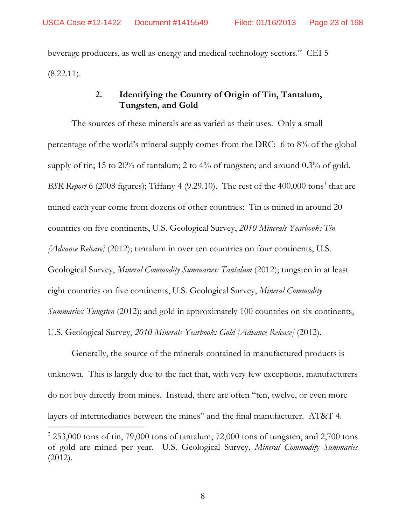beverage producers, as well as energy and medical technology sectors." CEI 5  $(8.22.11)$ .

## **2. Identifying the Country of Origin of Tin, Tantalum, Tungsten, and Gold**

The sources of these minerals are as varied as their uses. Only a small percentage of the world's mineral supply comes from the DRC: 6 to  $8\%$  of the global supply of tin; 15 to 20% of tantalum; 2 to 4% of tungsten; and around 0.3% of gold. BSR Report 6 (2008 figures); Tiffany 4 (9.29.10). The rest of the 400,000 tons<sup>3</sup> that are mined each year come from dozens of other countries: Tin is mined in around 20 countries on five continents, U.S. Geological Survey, *2010 Minerals Yearbook: Tin [Advance Release]* (2012); tantalum in over ten countries on four continents, U.S. Geological Survey, *Mineral Commodity Summaries: Tantalum* (2012); tungsten in at least eight countries on five continents, U.S. Geological Survey, *Mineral Commodity Summaries: Tungsten* (2012); and gold in approximately 100 countries on six continents, U.S. Geological Survey, *2010 Minerals Yearbook: Gold [Advance Release]* (2012).

Generally, the source of the minerals contained in manufactured products is unknown. This is largely due to the fact that, with very few exceptions, manufacturers do not buy directly from mines. Instead, there are often "ten, twelve, or even more layers of intermediaries between the mines" and the final manufacturer. AT&T 4.

 $3253,000$  tons of tin, 79,000 tons of tantalum, 72,000 tons of tungsten, and 2,700 tons of gold are mined per year. U.S. Geological Survey, *Mineral Commodity Summaries* (2012).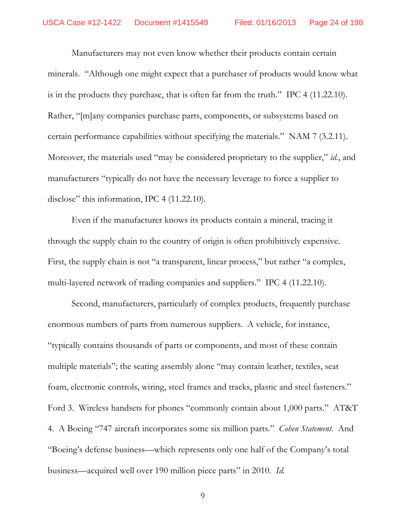Manufacturers may not even know whether their products contain certain minerals. "Although one might expect that a purchaser of products would know what is in the products they purchase, that is often far from the truth." IPC 4 (11.22.10). Rather, "[m]any companies purchase parts, components, or subsystems based on certain performance capabilities without specifying the materials." NAM 7 (3.2.11). Moreover, the materials used "may be considered proprietary to the supplier," id., and manufacturers "typically do not have the necessary leverage to force a supplier to disclose" this information, IPC 4 (11.22.10).

Even if the manufacturer knows its products contain a mineral, tracing it through the supply chain to the country of origin is often prohibitively expensive. First, the supply chain is not "a transparent, linear process," but rather "a complex, multi-layered network of trading companies and suppliers." IPC 4 (11.22.10).

Second, manufacturers, particularly of complex products, frequently purchase enormous numbers of parts from numerous suppliers. A vehicle, for instance, "typically contains thousands of parts or components, and most of these contain multiple materials"; the seating assembly alone "may contain leather, textiles, seat foam, electronic controls, wiring, steel frames and tracks, plastic and steel fasteners." Ford 3. Wireless handsets for phones "commonly contain about 1,000 parts." AT&T 4. A Boeing "747 aircraft incorporates some six million parts." *Cohen Statement*. And "Boeing's defense business—which represents only one half of the Company's total business—acquired well over 190 million piece parts" in 2010. Id.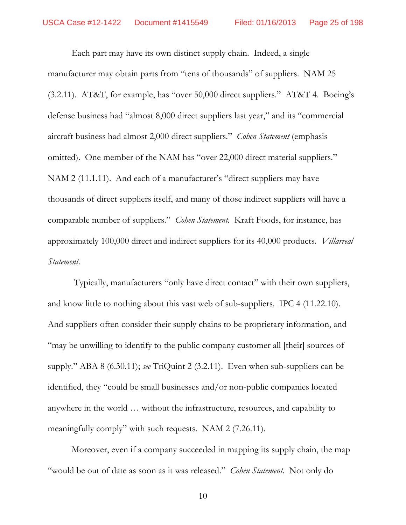Each part may have its own distinct supply chain. Indeed, a single manufacturer may obtain parts from "tens of thousands" of suppliers. NAM 25 (3.2.11). AT&T, for example, has "over 50,000 direct suppliers." AT&T 4. Boeing's defense business had "almost 8,000 direct suppliers last year," and its "commercial aircraft business had almost 2,000 direct suppliers." Cohen Statement (emphasis omitted). One member of the NAM has "over 22,000 direct material suppliers." NAM 2 (11.1.11). And each of a manufacturer's "direct suppliers may have thousands of direct suppliers itself, and many of those indirect suppliers will have a comparable number of suppliers." *Cohen Statement*. Kraft Foods, for instance, has approximately 100,000 direct and indirect suppliers for its 40,000 products. Villarreal Statement.

Typically, manufacturers "only have direct contact" with their own suppliers, and know little to nothing about this vast web of sub-suppliers. IPC 4 (11.22.10). And suppliers often consider their supply chains to be proprietary information, and "may be unwilling to identify to the public company customer all [their] sources of supply." ABA 8  $(6.30.11)$ ; see TriQuint 2  $(3.2.11)$ . Even when sub-suppliers can be identified, they "could be small businesses and/or non-public companies located anywhere in the world ... without the infrastructure, resources, and capability to meaningfully comply" with such requests. NAM 2 (7.26.11).

Moreover, even if a company succeeded in mapping its supply chain, the map "would be out of date as soon as it was released." *Cohen Statement*. Not only do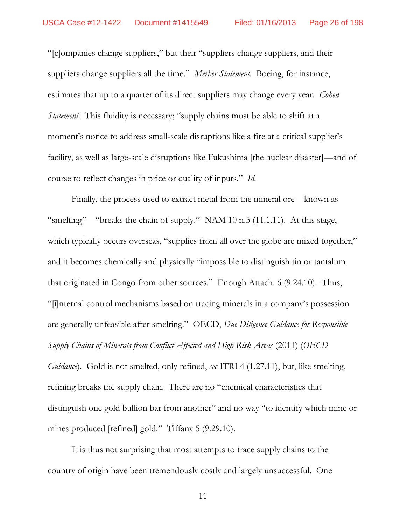"[c]ompanies change suppliers," but their "suppliers change suppliers, and their suppliers change suppliers all the time." Merber Statement. Boeing, for instance, estimates that up to a quarter of its direct suppliers may change every year. *Cohen Statement*. This fluidity is necessary; "supply chains must be able to shift at a moment's notice to address small-scale disruptions like a fire at a critical supplier's facility, as well as large-scale disruptions like Fukushima [the nuclear disaster]—and of course to reflect changes in price or quality of inputs." *Id*.

Finally, the process used to extract metal from the mineral ore—known as "smelting"—"breaks the chain of supply." NAM 10 n.5 (11.1.11). At this stage, which typically occurs overseas, "supplies from all over the globe are mixed together," and it becomes chemically and physically "impossible to distinguish tin or tantalum that originated in Congo from other sources." Enough Attach. 6 (9.24.10). Thus, [i]nternal control mechanisms based on tracing minerals in a companys possession are generally unfeasible after smelting." OECD, *Due Diligence Guidance for Responsible Supply Chains of Minerals from Conflict-Affected and High-Risk Areas* (2011) (*OECD Guidance*). Gold is not smelted, only refined, *see* ITRI 4 (1.27.11), but, like smelting, refining breaks the supply chain. There are no "chemical characteristics that distinguish one gold bullion bar from another" and no way "to identify which mine or mines produced [refined] gold." Tiffany 5 (9.29.10).

It is thus not surprising that most attempts to trace supply chains to the country of origin have been tremendously costly and largely unsuccessful. One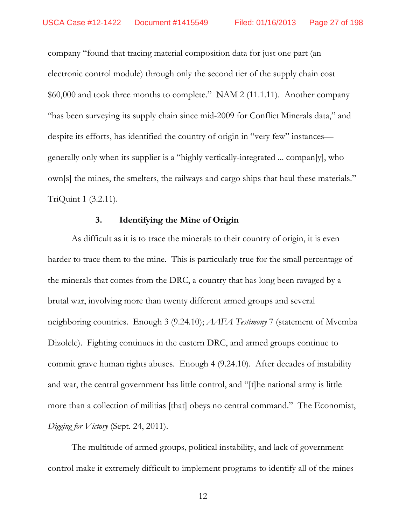company "found that tracing material composition data for just one part (an electronic control module) through only the second tier of the supply chain cost \$60,000 and took three months to complete." NAM 2 (11.1.11). Another company "has been surveying its supply chain since mid-2009 for Conflict Minerals data," and despite its efforts, has identified the country of origin in "very few" instances generally only when its supplier is a "highly vertically-integrated ... compan[y], who own[s] the mines, the smelters, the railways and cargo ships that haul these materials." TriQuint 1 (3.2.11).

#### $3<sub>1</sub>$ **Identifying the Mine of Origin**

As difficult as it is to trace the minerals to their country of origin, it is even harder to trace them to the mine. This is particularly true for the small percentage of the minerals that comes from the DRC, a country that has long been ravaged by a brutal war, involving more than twenty different armed groups and several neighboring countries. Enough 3 (9.24.10); AAFA Testimony 7 (statement of Mvemba Dizolele). Fighting continues in the eastern DRC, and armed groups continue to commit grave human rights abuses. Enough 4 (9.24.10). After decades of instability and war, the central government has little control, and "[t]he national army is little more than a collection of militias [that] obeys no central command." The Economist, Digging for Victory (Sept. 24, 2011).

The multitude of armed groups, political instability, and lack of government control make it extremely difficult to implement programs to identify all of the mines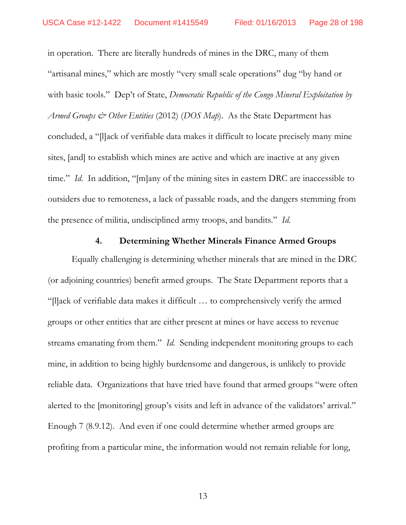in operation. There are literally hundreds of mines in the DRC, many of them "artisanal mines," which are mostly "very small scale operations" dug "by hand or with basic tools." Dep't of State, Democratic Republic of the Congo Mineral Exploitation by *Armed Groups*  $\mathcal{Q}^*$  *Other Entities* (2012) (DOS Map). As the State Department has concluded, a "Illack of verifiable data makes it difficult to locate precisely many mine sites, [and] to establish which mines are active and which are inactive at any given time." Id. In addition, "[m]any of the mining sites in eastern DRC are inaccessible to outsiders due to remoteness, a lack of passable roads, and the dangers stemming from the presence of militia, undisciplined army troops, and bandits." Id.

#### $4.$ **Determining Whether Minerals Finance Armed Groups**

Equally challenging is determining whether minerals that are mined in the DRC (or adjoining countries) benefit armed groups. The State Department reports that a "[I] ack of verifiable data makes it difficult ... to comprehensively verify the armed groups or other entities that are either present at mines or have access to revenue streams emanating from them." Id. Sending independent monitoring groups to each mine, in addition to being highly burdensome and dangerous, is unlikely to provide reliable data. Organizations that have tried have found that armed groups "were often alerted to the [monitoring] group's visits and left in advance of the validators' arrival." Enough 7 (8.9.12). And even if one could determine whether armed groups are profiting from a particular mine, the information would not remain reliable for long,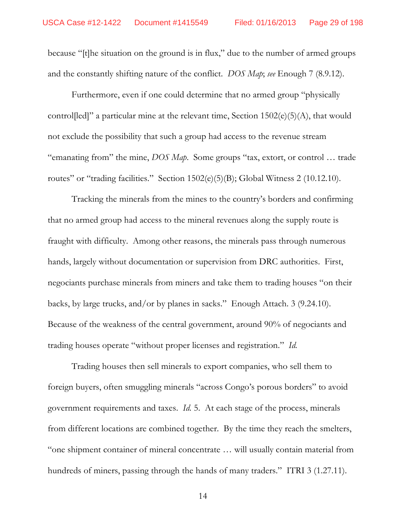because "[t]he situation on the ground is in flux," due to the number of armed groups and the constantly shifting nature of the conflict. *DOS Map*; *see* Enough 7 (8.9.12).

Furthermore, even if one could determine that no armed group "physically" controlled]" a particular mine at the relevant time, Section  $1502(e)(5)(A)$ , that would not exclude the possibility that such a group had access to the revenue stream "emanating from" the mine, *DOS Map*. Some groups "tax, extort, or control  $\ldots$  trade routes" or "trading facilities." Section  $1502(e)(5)(B)$ ; Global Witness 2 (10.12.10).

Tracking the minerals from the mines to the country's borders and confirming that no armed group had access to the mineral revenues along the supply route is fraught with difficulty. Among other reasons, the minerals pass through numerous hands, largely without documentation or supervision from DRC authorities. First, negociants purchase minerals from miners and take them to trading houses "on their backs, by large trucks, and/or by planes in sacks." Enough Attach.  $3$  (9.24.10). Because of the weakness of the central government, around 90% of negociants and trading houses operate "without proper licenses and registration." *Id.* 

Trading houses then sell minerals to export companies, who sell them to foreign buyers, often smuggling minerals "across Congo's porous borders" to avoid government requirements and taxes. *Id.* 5. At each stage of the process, minerals from different locations are combined together. By the time they reach the smelters, "one shipment container of mineral concentrate ... will usually contain material from hundreds of miners, passing through the hands of many traders." ITRI 3 (1.27.11).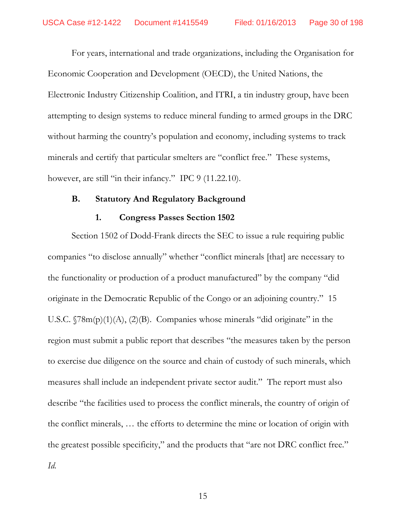For years, international and trade organizations, including the Organisation for Economic Cooperation and Development (OECD), the United Nations, the Electronic Industry Citizenship Coalition, and ITRI, a tin industry group, have been attempting to design systems to reduce mineral funding to armed groups in the DRC without harming the country's population and economy, including systems to track minerals and certify that particular smelters are "conflict free." These systems, however, are still "in their infancy." IPC 9 (11.22.10).

### **B. Statutory And Regulatory Background**

### **1. Congress Passes Section 1502**

Section 1502 of Dodd-Frank directs the SEC to issue a rule requiring public companies "to disclose annually" whether "conflict minerals [that] are necessary to the functionality or production of a product manufactured" by the company "did originate in the Democratic Republic of the Congo or an adjoining country." 15 U.S.C.  $\sqrt{78m(p)(1)(A)}$ ,  $(2)(B)$ . Companies whose minerals "did originate" in the region must submit a public report that describes "the measures taken by the person to exercise due diligence on the source and chain of custody of such minerals, which measures shall include an independent private sector audit." The report must also describe "the facilities used to process the conflict minerals, the country of origin of the conflict minerals, ... the efforts to determine the mine or location of origin with the greatest possible specificity," and the products that "are not DRC conflict free." *Id.*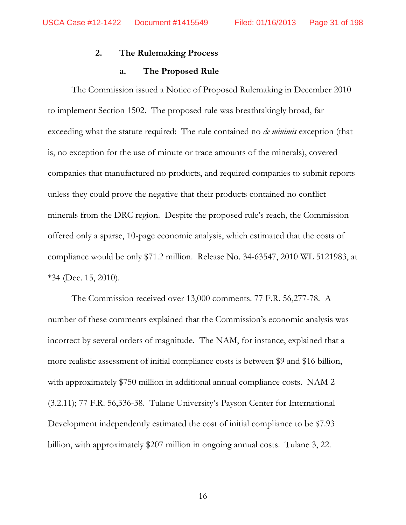#### $2.$ The Rulemaking Process

#### The Proposed Rule a.

The Commission issued a Notice of Proposed Rulemaking in December 2010 to implement Section 1502. The proposed rule was breathtakingly broad, far exceeding what the statute required: The rule contained no *de minimis* exception (that is, no exception for the use of minute or trace amounts of the minerals), covered companies that manufactured no products, and required companies to submit reports unless they could prove the negative that their products contained no conflict minerals from the DRC region. Despite the proposed rule's reach, the Commission offered only a sparse, 10-page economic analysis, which estimated that the costs of compliance would be only \$71.2 million. Release No. 34-63547, 2010 WL 5121983, at  $*34$  (Dec. 15, 2010).

The Commission received over 13,000 comments. 77 F.R. 56,277-78. A number of these comments explained that the Commission's economic analysis was incorrect by several orders of magnitude. The NAM, for instance, explained that a more realistic assessment of initial compliance costs is between \$9 and \$16 billion, with approximately \$750 million in additional annual compliance costs. NAM 2 (3.2.11); 77 F.R. 56,336-38. Tulane University's Payson Center for International Development independently estimated the cost of initial compliance to be \$7.93 billion, with approximately \$207 million in ongoing annual costs. Tulane 3, 22.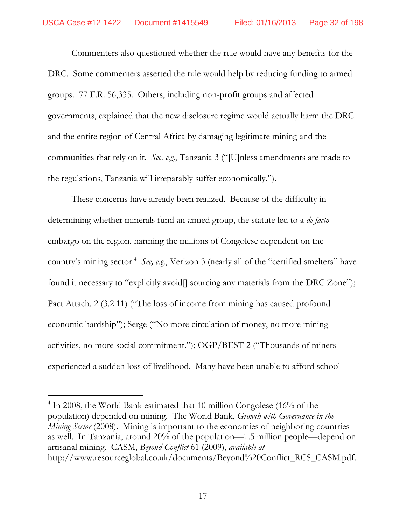Commenters also questioned whether the rule would have any benefits for the DRC. Some commenters asserted the rule would help by reducing funding to armed groups. 77 F.R. 56,335. Others, including non-profit groups and affected governments, explained that the new disclosure regime would actually harm the DRC and the entire region of Central Africa by damaging legitimate mining and the communities that rely on it. *See, e.g.*, Tanzania 3 ("[U]nless amendments are made to the regulations, Tanzania will irreparably suffer economically.").

These concerns have already been realized. Because of the difficulty in determining whether minerals fund an armed group, the statute led to a *de facto* embargo on the region, harming the millions of Congolese dependent on the country's mining sector.<sup>4</sup> See, e.g., Verizon 3 (nearly all of the "certified smelters" have found it necessary to "explicitly avoid[] sourcing any materials from the DRC Zone"); Pact Attach. 2 (3.2.11) ("The loss of income from mining has caused profound economic hardship"); Serge ("No more circulation of money, no more mining activities, no more social commitment."); OGP/BEST 2 ("Thousands of miners experienced a sudden loss of livelihood. Many have been unable to afford school

<sup>&</sup>lt;sup>4</sup> In 2008, the World Bank estimated that 10 million Congolese (16% of the population) depended on mining. The World Bank, *Growth with Governance in the Mining Sector* (2008). Mining is important to the economies of neighboring countries as well. In Tanzania, around  $20\%$  of the population—1.5 million people—depend on artisanal mining. CASM, *Beyond Conflict* 61 (2009), *available at* http://www.resourceglobal.co.uk/documents/Beyond%20Conflict\_RCS\_CASM.pdf.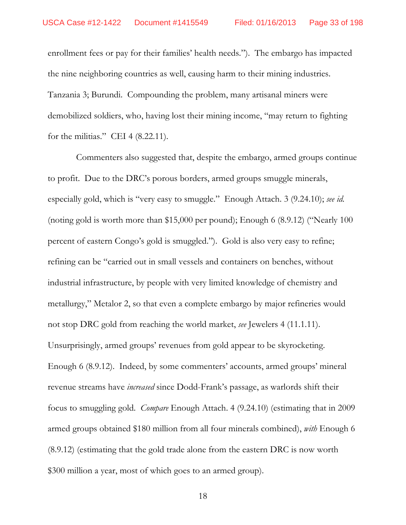enrollment fees or pay for their families' health needs."). The embargo has impacted the nine neighboring countries as well, causing harm to their mining industries. Tanzania 3; Burundi. Compounding the problem, many artisanal miners were demobilized soldiers, who, having lost their mining income, "may return to fighting for the militias." CEI 4  $(8.22.11)$ .

Commenters also suggested that, despite the embargo, armed groups continue to profit. Due to the DRC's porous borders, armed groups smuggle minerals, especially gold, which is "very easy to smuggle." Enough Attach. 3 (9.24.10); see id. (noting gold is worth more than \$15,000 per pound); Enough 6  $(8.9.12)$  ("Nearly 100 percent of eastern Congo's gold is smuggled."). Gold is also very easy to refine; refining can be "carried out in small vessels and containers on benches, without industrial infrastructure, by people with very limited knowledge of chemistry and metallurgy," Metalor 2, so that even a complete embargo by major refineries would not stop DRC gold from reaching the world market, see Jewelers 4 (11.1.11). Unsurprisingly, armed groups' revenues from gold appear to be skyrocketing. Enough 6 (8.9.12). Indeed, by some commenters' accounts, armed groups' mineral revenue streams have *increased* since Dodd-Frank's passage, as warlords shift their focus to smuggling gold. *Compare* Enough Attach. 4 (9.24.10) (estimating that in 2009 armed groups obtained \$180 million from all four minerals combined), with Enough 6 (8.9.12) (estimating that the gold trade alone from the eastern DRC is now worth \$300 million a year, most of which goes to an armed group).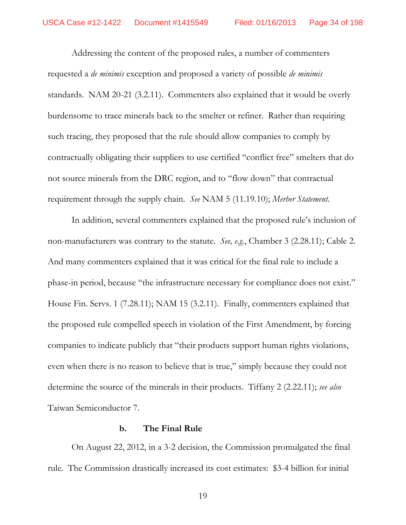Addressing the content of the proposed rules, a number of commenters requested a *de minimis* exception and proposed a variety of possible *de minimis* standards. NAM 20-21 (3.2.11). Commenters also explained that it would be overly burdensome to trace minerals back to the smelter or refiner. Rather than requiring such tracing, they proposed that the rule should allow companies to comply by contractually obligating their suppliers to use certified "conflict free" smelters that do not source minerals from the DRC region, and to "flow down" that contractual requirement through the supply chain. *See* NAM 5 (11.19.10); *Merber Statement*.

In addition, several commenters explained that the proposed rule's inclusion of non-manufacturers was contrary to the statute. *See, e.g.*, Chamber 3 (2.28.11); Cable 2. And many commenters explained that it was critical for the final rule to include a phase-in period, because "the infrastructure necessary for compliance does not exist." House Fin. Servs. 1 (7.28.11); NAM 15 (3.2.11). Finally, commenters explained that the proposed rule compelled speech in violation of the First Amendment, by forcing companies to indicate publicly that "their products support human rights violations, even when there is no reason to believe that is true," simply because they could not determine the source of the minerals in their products. Tiffany 2 (2.22.11); *see also* Taiwan Semiconductor 7.

#### **b. The Final Rule**

On August 22, 2012, in a 3-2 decision, the Commission promulgated the final rule. The Commission drastically increased its cost estimates: \$3-4 billion for initial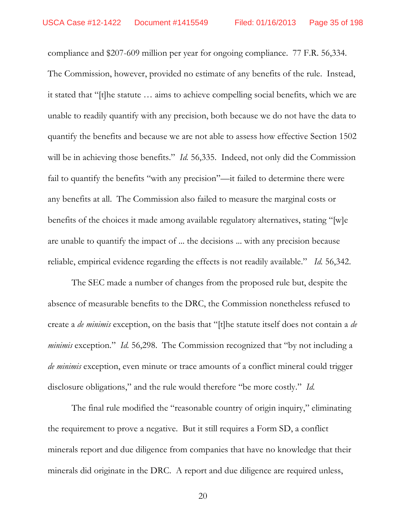compliance and \$207-609 million per year for ongoing compliance. 77 F.R. 56,334. The Commission, however, provided no estimate of any benefits of the rule. Instead, it stated that "[t]he statute ... aims to achieve compelling social benefits, which we are unable to readily quantify with any precision, both because we do not have the data to quantify the benefits and because we are not able to assess how effective Section 1502 will be in achieving those benefits." *Id.* 56,335. Indeed, not only did the Commission fail to quantify the benefits "with any precision"—it failed to determine there were any benefits at all. The Commission also failed to measure the marginal costs or benefits of the choices it made among available regulatory alternatives, stating "[w]e are unable to quantify the impact of ... the decisions ... with any precision because reliable, empirical evidence regarding the effects is not readily available." Id. 56,342.

The SEC made a number of changes from the proposed rule but, despite the absence of measurable benefits to the DRC, the Commission nonetheless refused to create a *de minimis* exception, on the basis that "[t]he statute itself does not contain a *de minimis* exception." *Id.* 56,298. The Commission recognized that "by not including a *de minimis* exception, even minute or trace amounts of a conflict mineral could trigger disclosure obligations," and the rule would therefore "be more costly." Id.

The final rule modified the "reasonable country of origin inquiry," eliminating the requirement to prove a negative. But it still requires a Form SD, a conflict minerals report and due diligence from companies that have no knowledge that their minerals did originate in the DRC. A report and due diligence are required unless,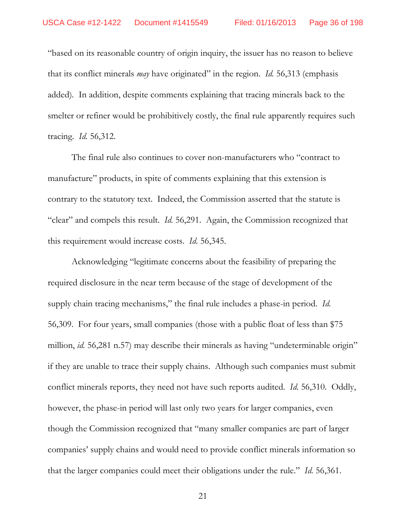based on its reasonable country of origin inquiry, the issuer has no reason to believe that its conflict minerals *may* have originated" in the region. *Id.* 56,313 (emphasis added)*.* In addition, despite comments explaining that tracing minerals back to the smelter or refiner would be prohibitively costly, the final rule apparently requires such tracing. *Id.* 56,312.

The final rule also continues to cover non-manufacturers who "contract to manufacture" products, in spite of comments explaining that this extension is contrary to the statutory text. Indeed, the Commission asserted that the statute is "clear" and compels this result. *Id.* 56,291. Again, the Commission recognized that this requirement would increase costs. *Id.* 56,345.

Acknowledging "legitimate concerns about the feasibility of preparing the required disclosure in the near term because of the stage of development of the supply chain tracing mechanisms," the final rule includes a phase-in period. *Id.* 56,309. For four years, small companies (those with a public float of less than \$75 million, *id.* 56,281 n.57) may describe their minerals as having "undeterminable origin" if they are unable to trace their supply chains. Although such companies must submit conflict minerals reports, they need not have such reports audited. *Id.* 56,310. Oddly, however, the phase-in period will last only two years for larger companies, even though the Commission recognized that "many smaller companies are part of larger companies' supply chains and would need to provide conflict minerals information so that the larger companies could meet their obligations under the rule." *Id.* 56,361.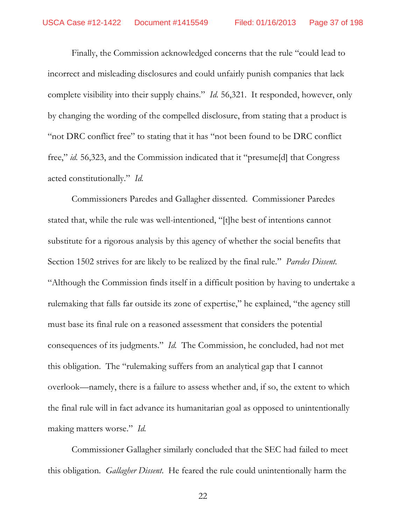Finally, the Commission acknowledged concerns that the rule "could lead to incorrect and misleading disclosures and could unfairly punish companies that lack complete visibility into their supply chains." *Id.* 56,321. It responded, however, only by changing the wording of the compelled disclosure, from stating that a product is "not DRC conflict free" to stating that it has "not been found to be DRC conflict" free," id. 56,323, and the Commission indicated that it "presume[d] that Congress acted constitutionally." Id.

Commissioners Paredes and Gallagher dissented. Commissioner Paredes stated that, while the rule was well-intentioned, "[t]he best of intentions cannot substitute for a rigorous analysis by this agency of whether the social benefits that Section 1502 strives for are likely to be realized by the final rule." *Paredes Dissent*. "Although the Commission finds itself in a difficult position by having to undertake a rulemaking that falls far outside its zone of expertise," he explained, "the agency still must base its final rule on a reasoned assessment that considers the potential consequences of its judgments." *Id.* The Commission, he concluded, had not met this obligation. The "rulemaking suffers from an analytical gap that I cannot overlook—namely, there is a failure to assess whether and, if so, the extent to which the final rule will in fact advance its humanitarian goal as opposed to unintentionally making matters worse." Id.

Commissioner Gallagher similarly concluded that the SEC had failed to meet this obligation. Gallagher Dissent. He feared the rule could unintentionally harm the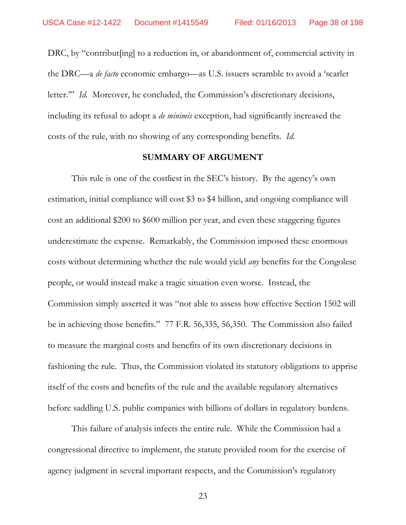DRC, by "contribut [ing] to a reduction in, or abandonment of, commercial activity in the DRC—a *de facto* economic embargo—as U.S. issuers scramble to avoid a 'scarlet letter." *Id.* Moreover, he concluded, the Commission's discretionary decisions, including its refusal to adopt a *de minimis* exception, had significantly increased the costs of the rule, with no showing of any corresponding benefits. *Id.*

## **SUMMARY OF ARGUMENT**

This rule is one of the costliest in the SEC's history. By the agency's own estimation, initial compliance will cost \$3 to \$4 billion, and ongoing compliance will cost an additional \$200 to \$600 million per year, and even these staggering figures underestimate the expense. Remarkably, the Commission imposed these enormous costs without determining whether the rule would yield *any* benefits for the Congolese people, or would instead make a tragic situation even worse. Instead, the Commission simply asserted it was "not able to assess how effective Section 1502 will be in achieving those benefits." 77 F.R. 56,335, 56,350. The Commission also failed to measure the marginal costs and benefits of its own discretionary decisions in fashioning the rule. Thus, the Commission violated its statutory obligations to apprise itself of the costs and benefits of the rule and the available regulatory alternatives before saddling U.S. public companies with billions of dollars in regulatory burdens.

This failure of analysis infects the entire rule. While the Commission had a congressional directive to implement, the statute provided room for the exercise of agency judgment in several important respects, and the Commission's regulatory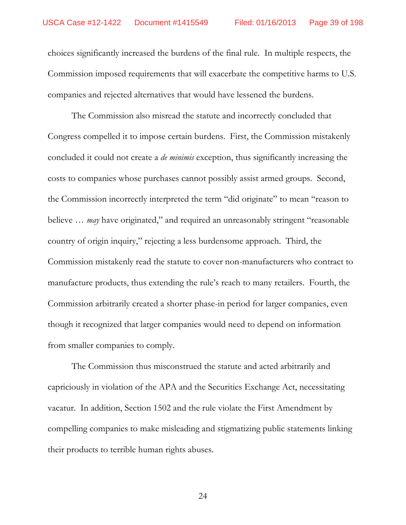choices significantly increased the burdens of the final rule. In multiple respects, the Commission imposed requirements that will exacerbate the competitive harms to U.S. companies and rejected alternatives that would have lessened the burdens.

The Commission also misread the statute and incorrectly concluded that Congress compelled it to impose certain burdens. First, the Commission mistakenly concluded it could not create a *de minimis* exception, thus significantly increasing the costs to companies whose purchases cannot possibly assist armed groups. Second, the Commission incorrectly interpreted the term "did originate" to mean "reason to believe ... *may* have originated," and required an unreasonably stringent "reasonable country of origin inquiry," rejecting a less burdensome approach. Third, the Commission mistakenly read the statute to cover non-manufacturers who contract to manufacture products, thus extending the rule's reach to many retailers. Fourth, the Commission arbitrarily created a shorter phase-in period for larger companies, even though it recognized that larger companies would need to depend on information from smaller companies to comply.

The Commission thus misconstrued the statute and acted arbitrarily and capriciously in violation of the APA and the Securities Exchange Act, necessitating vacatur. In addition, Section 1502 and the rule violate the First Amendment by compelling companies to make misleading and stigmatizing public statements linking their products to terrible human rights abuses.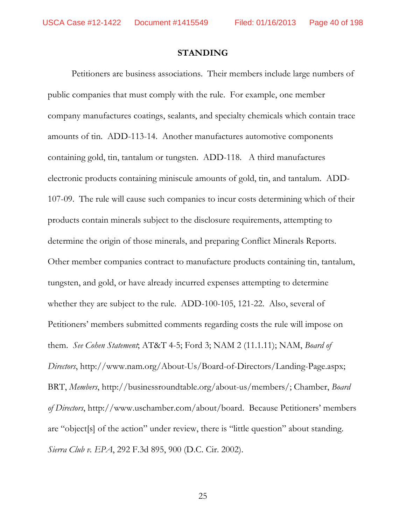## **STANDING**

Petitioners are business associations. Their members include large numbers of public companies that must comply with the rule. For example, one member company manufactures coatings, sealants, and specialty chemicals which contain trace amounts of tin. ADD-113-14. Another manufactures automotive components containing gold, tin, tantalum or tungsten. ADD-118. A third manufactures electronic products containing miniscule amounts of gold, tin, and tantalum. ADD-107-09. The rule will cause such companies to incur costs determining which of their products contain minerals subject to the disclosure requirements, attempting to determine the origin of those minerals, and preparing Conflict Minerals Reports. Other member companies contract to manufacture products containing tin, tantalum, tungsten, and gold, or have already incurred expenses attempting to determine whether they are subject to the rule. ADD-100-105, 121-22. Also, several of Petitioners' members submitted comments regarding costs the rule will impose on them. See Cohen Statement, AT&T 4-5; Ford 3; NAM 2 (11.1.11); NAM, Board of *Directors*, http://www.nam.org/About-Us/Board-of-Directors/Landing-Page.aspx; BRT, *Members*, http://businessroundtable.org/about-us/members/; Chamber, *Board* of Directors, http://www.uschamber.com/about/board. Because Petitioners' members are "object[s] of the action" under review, there is "little question" about standing. *Sierra Club v. EPA*, 292 F.3d 895, 900 (D.C. Cir. 2002).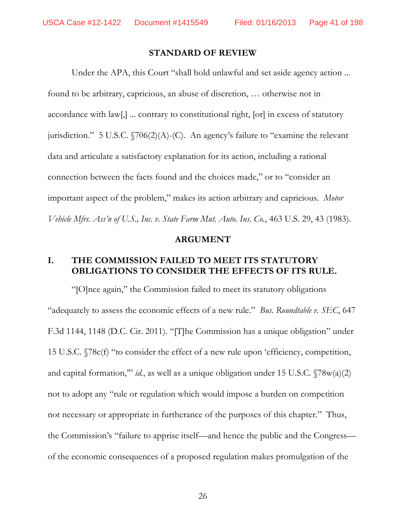## **STANDARD OF REVIEW**

Under the APA, this Court "shall hold unlawful and set aside agency action ... found to be arbitrary, capricious, an abuse of discretion, ... otherwise not in accordance with law[,] ... contrary to constitutional right, [or] in excess of statutory jurisdiction." 5 U.S.C.  $\sqrt{706(2)}$ (A)-(C). An agency's failure to "examine the relevant data and articulate a satisfactory explanation for its action, including a rational connection between the facts found and the choices made," or to "consider an important aspect of the problem," makes its action arbitrary and capricious. *Motor Vehicle Mfrs. Ass'n of U.S., Inc. v. State Farm Mut. Auto. Ins. Co., 463 U.S. 29, 43 (1983).* 

## **ARGUMENT**

# **I. THE COMMISSION FAILED TO MEET ITS STATUTORY OBLIGATIONS TO CONSIDER THE EFFECTS OF ITS RULE.**

"[O]nce again," the Commission failed to meet its statutory obligations "adequately to assess the economic effects of a new rule." *Bus. Roundtable v. SEC*, 647 F.3d 1144, 1148 (D.C. Cir. 2011). "[T]he Commission has a unique obligation" under 15 U.S.C. §78c(f) "to consider the effect of a new rule upon 'efficiency, competition, and capital formation," *id.*, as well as a unique obligation under 15 U.S.C.  $\sqrt{78w(a)(2)}$ not to adopt any "rule or regulation which would impose a burden on competition not necessary or appropriate in furtherance of the purposes of this chapter." Thus, the Commission's "failure to apprise itself—and hence the public and the Congress of the economic consequences of a proposed regulation makes promulgation of the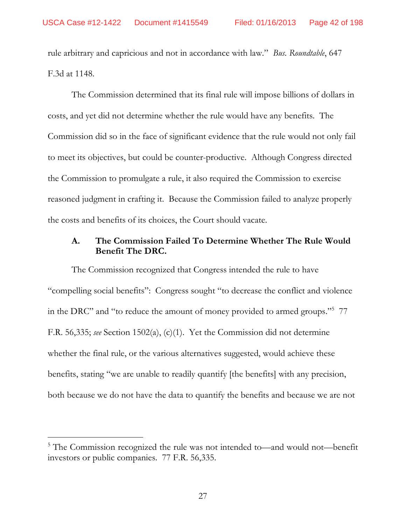rule arbitrary and capricious and not in accordance with law." Bus. Roundtable, 647 F.3d at 1148.

The Commission determined that its final rule will impose billions of dollars in costs, and yet did not determine whether the rule would have any benefits. The Commission did so in the face of significant evidence that the rule would not only fail to meet its objectives, but could be counter-productive. Although Congress directed the Commission to promulgate a rule, it also required the Commission to exercise reasoned judgment in crafting it. Because the Commission failed to analyze properly the costs and benefits of its choices, the Court should vacate.

### The Commission Failed To Determine Whether The Rule Would A. **Benefit The DRC.**

The Commission recognized that Congress intended the rule to have "compelling social benefits": Congress sought "to decrease the conflict and violence in the DRC" and "to reduce the amount of money provided to armed groups."<sup>5</sup> 77 F.R. 56,335; see Section 1502(a), (c)(1). Yet the Commission did not determine whether the final rule, or the various alternatives suggested, would achieve these benefits, stating "we are unable to readily quantify [the benefits] with any precision, both because we do not have the data to quantify the benefits and because we are not

<sup>&</sup>lt;sup>5</sup> The Commission recognized the rule was not intended to—and would not—benefit investors or public companies. 77 F.R. 56,335.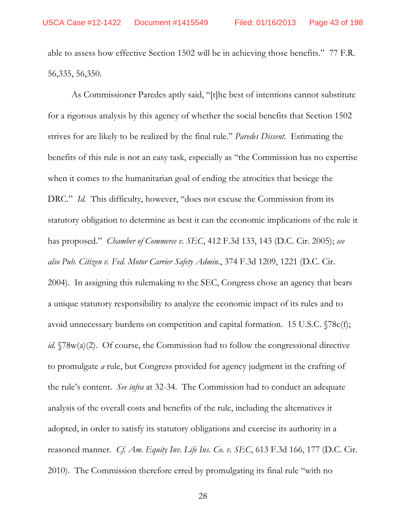able to assess how effective Section 1502 will be in achieving those benefits." 77 F.R. 56, 335, 56, 350.

As Commissioner Paredes aptly said, "[t]he best of intentions cannot substitute for a rigorous analysis by this agency of whether the social benefits that Section 1502 strives for are likely to be realized by the final rule." Paredes Dissent. Estimating the benefits of this rule is not an easy task, especially as "the Commission has no expertise when it comes to the humanitarian goal of ending the atrocities that besiege the DRC." Id. This difficulty, however, "does not excuse the Commission from its statutory obligation to determine as best it can the economic implications of the rule it has proposed." *Chamber of Commerce v. SEC*, 412 F.3d 133, 143 (D.C. Cir. 2005); see also Pub. Citizen v. Fed. Motor Carrier Safety Admin., 374 F.3d 1209, 1221 (D.C. Cir. 2004). In assigning this rulemaking to the SEC, Congress chose an agency that bears a unique statutory responsibility to analyze the economic impact of its rules and to avoid unnecessary burdens on competition and capital formation. 15 U.S.C. §78c(f); id. §78w(a)(2). Of course, the Commission had to follow the congressional directive to promulgate *a* rule, but Congress provided for agency judgment in the crafting of the rule's content. See infra at 32-34. The Commission had to conduct an adequate analysis of the overall costs and benefits of the rule, including the alternatives it adopted, in order to satisfy its statutory obligations and exercise its authority in a reasoned manner. Cf. Am. Equity Inv. Life Ins. Co. v. SEC, 613 F.3d 166, 177 (D.C. Cir. 2010). The Commission therefore erred by promulgating its final rule "with no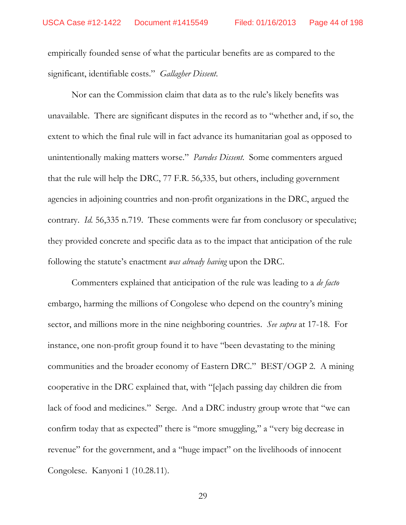empirically founded sense of what the particular benefits are as compared to the significant, identifiable costs." Gallagher Dissent.

Nor can the Commission claim that data as to the rule's likely benefits was unavailable. There are significant disputes in the record as to "whether and, if so, the extent to which the final rule will in fact advance its humanitarian goal as opposed to unintentionally making matters worse." Paredes Dissent. Some commenters argued that the rule will help the DRC, 77 F.R. 56,335, but others, including government agencies in adjoining countries and non-profit organizations in the DRC, argued the contrary. *Id.* 56,335 n.719. These comments were far from conclusory or speculative; they provided concrete and specific data as to the impact that anticipation of the rule following the statute's enactment was already having upon the DRC.

Commenters explained that anticipation of the rule was leading to a *de facto* embargo, harming the millions of Congolese who depend on the country's mining sector, and millions more in the nine neighboring countries. See supra at 17-18. For instance, one non-profit group found it to have "been devastating to the mining communities and the broader economy of Eastern DRC." BEST/OGP 2. A mining cooperative in the DRC explained that, with "[e]ach passing day children die from lack of food and medicines." Serge. And a DRC industry group wrote that "we can confirm today that as expected" there is "more smuggling," a "very big decrease in revenue" for the government, and a "huge impact" on the livelihoods of innocent Congolese. Kanyoni 1 (10.28.11).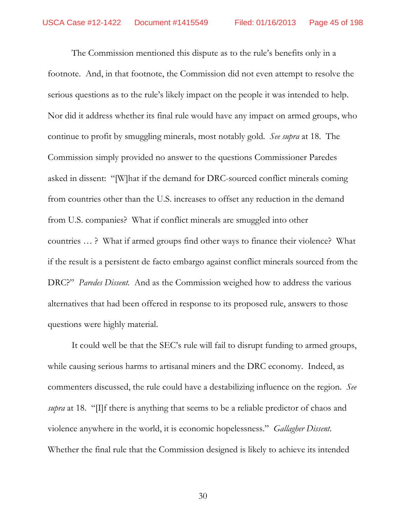The Commission mentioned this dispute as to the rule's benefits only in a footnote. And, in that footnote, the Commission did not even attempt to resolve the serious questions as to the rule's likely impact on the people it was intended to help. Nor did it address whether its final rule would have any impact on armed groups, who continue to profit by smuggling minerals, most notably gold. See supra at 18. The Commission simply provided no answer to the questions Commissioner Paredes asked in dissent: "[W] hat if the demand for DRC-sourced conflict minerals coming from countries other than the U.S. increases to offset any reduction in the demand from U.S. companies? What if conflict minerals are smuggled into other countries ...? What if armed groups find other ways to finance their violence? What if the result is a persistent de facto embargo against conflict minerals sourced from the DRC?" Paredes Dissent. And as the Commission weighed how to address the various alternatives that had been offered in response to its proposed rule, answers to those questions were highly material.

It could well be that the SEC's rule will fail to disrupt funding to armed groups, while causing serious harms to artisanal miners and the DRC economy. Indeed, as commenters discussed, the rule could have a destabilizing influence on the region. See *supra* at 18. "[I]f there is anything that seems to be a reliable predictor of chaos and violence anywhere in the world, it is economic hopelessness." *Gallagher Dissent*. Whether the final rule that the Commission designed is likely to achieve its intended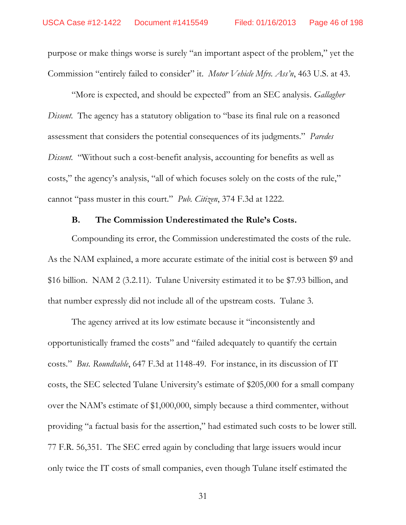purpose or make things worse is surely "an important aspect of the problem," yet the Commission "entirely failed to consider" it. Motor Vehicle Mfrs. Ass'n, 463 U.S. at 43.

"More is expected, and should be expected" from an SEC analysis. *Gallagher Dissent.* The agency has a statutory obligation to "base its final rule on a reasoned assessment that considers the potential consequences of its judgments." Paredes *Dissent.* "Without such a cost-benefit analysis, accounting for benefits as well as costs," the agency's analysis, "all of which focuses solely on the costs of the rule," cannot "pass muster in this court." Pub. Citizen, 374 F.3d at 1222.

#### $B<sub>1</sub>$ The Commission Underestimated the Rule's Costs.

Compounding its error, the Commission underestimated the costs of the rule. As the NAM explained, a more accurate estimate of the initial cost is between \$9 and \$16 billion. NAM 2 (3.2.11). Tulane University estimated it to be \$7.93 billion, and that number expressly did not include all of the upstream costs. Tulane 3.

The agency arrived at its low estimate because it "inconsistently and opportunistically framed the costs" and "failed adequately to quantify the certain costs." *Bus. Roundtable*, 647 F.3d at 1148-49. For instance, in its discussion of IT costs, the SEC selected Tulane University's estimate of \$205,000 for a small company over the NAM's estimate of \$1,000,000, simply because a third commenter, without providing "a factual basis for the assertion," had estimated such costs to be lower still. 77 F.R. 56,351. The SEC erred again by concluding that large issuers would incur only twice the IT costs of small companies, even though Tulane itself estimated the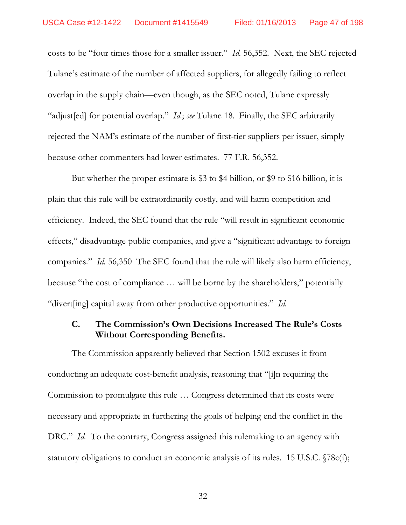costs to be "four times those for a smaller issuer." Id. 56,352. Next, the SEC rejected Tulane's estimate of the number of affected suppliers, for allegedly failing to reflect overlap in the supply chain—even though, as the SEC noted, Tulane expressly "adjust [ed] for potential overlap." *Id.*; see Tulane 18. Finally, the SEC arbitrarily rejected the NAM's estimate of the number of first-tier suppliers per issuer, simply because other commenters had lower estimates. 77 F.R. 56,352.

But whether the proper estimate is \$3 to \$4 billion, or \$9 to \$16 billion, it is plain that this rule will be extraordinarily costly, and will harm competition and efficiency. Indeed, the SEC found that the rule "will result in significant economic effects," disadvantage public companies, and give a "significant advantage to foreign companies." Id. 56,350 The SEC found that the rule will likely also harm efficiency, because "the cost of compliance ... will be borne by the shareholders," potentially "divert[ing] capital away from other productive opportunities." Id.

### C. The Commission's Own Decisions Increased The Rule's Costs **Without Corresponding Benefits.**

The Commission apparently believed that Section 1502 excuses it from conducting an adequate cost-benefit analysis, reasoning that "[i]n requiring the Commission to promulgate this rule ... Congress determined that its costs were necessary and appropriate in furthering the goals of helping end the conflict in the DRC." Id. To the contrary, Congress assigned this rulemaking to an agency with statutory obligations to conduct an economic analysis of its rules. 15 U.S.C.  $\sqrt{78c(f)}$ ;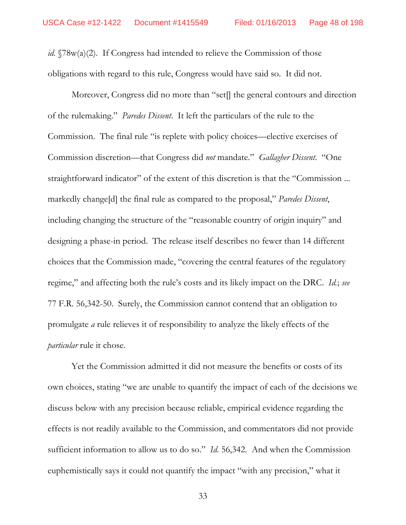*id.*  $\sqrt{78}w(a)(2)$ . If Congress had intended to relieve the Commission of those obligations with regard to this rule, Congress would have said so. It did not.

Moreover, Congress did no more than "set] the general contours and direction of the rulemaking." Paredes Dissent. It left the particulars of the rule to the Commission. The final rule "is replete with policy choices—elective exercises of Commission discretion—that Congress did not mandate." Gallagher Dissent. "One straightforward indicator" of the extent of this discretion is that the "Commission ... markedly change [d] the final rule as compared to the proposal," Paredes Dissent, including changing the structure of the "reasonable country of origin inquiry" and designing a phase-in period. The release itself describes no fewer than 14 different choices that the Commission made, "covering the central features of the regulatory regime," and affecting both the rule's costs and its likely impact on the DRC. Id.; see 77 F.R. 56,342-50. Surely, the Commission cannot contend that an obligation to promulgate *a* rule relieves it of responsibility to analyze the likely effects of the *particular* rule it chose.

Yet the Commission admitted it did not measure the benefits or costs of its own choices, stating "we are unable to quantify the impact of each of the decisions we discuss below with any precision because reliable, empirical evidence regarding the effects is not readily available to the Commission, and commentators did not provide sufficient information to allow us to do so." *Id.* 56,342. And when the Commission euphemistically says it could not quantify the impact "with any precision," what it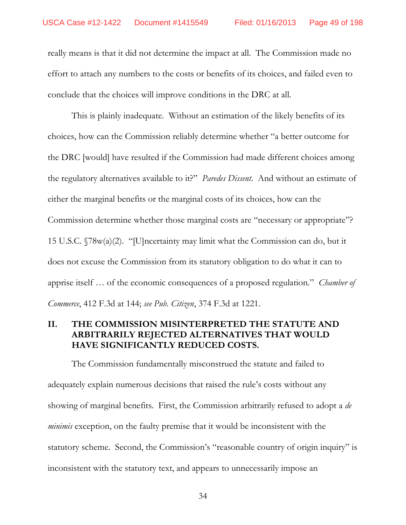really means is that it did not determine the impact at all. The Commission made no effort to attach any numbers to the costs or benefits of its choices, and failed even to conclude that the choices will improve conditions in the DRC at all.

This is plainly inadequate. Without an estimation of the likely benefits of its choices, how can the Commission reliably determine whether "a better outcome for the DRC [would] have resulted if the Commission had made different choices among the regulatory alternatives available to it?" *Paredes Dissent*. And without an estimate of either the marginal benefits or the marginal costs of its choices, how can the Commission determine whether those marginal costs are "necessary or appropriate"? 15 U.S.C.  $\sqrt{78}w(a)(2)$ . "[U]ncertainty may limit what the Commission can do, but it does not excuse the Commission from its statutory obligation to do what it can to apprise itself ... of the economic consequences of a proposed regulation." *Chamber of Commerce*, 412 F.3d at 144; *see Pub. Citizen*, 374 F.3d at 1221.

# **II. THE COMMISSION MISINTERPRETED THE STATUTE AND ARBITRARILY REJECTED ALTERNATIVES THAT WOULD HAVE SIGNIFICANTLY REDUCED COSTS.**

The Commission fundamentally misconstrued the statute and failed to adequately explain numerous decisions that raised the rule's costs without any showing of marginal benefits. First, the Commission arbitrarily refused to adopt a *de minimis* exception, on the faulty premise that it would be inconsistent with the statutory scheme. Second, the Commission's "reasonable country of origin inquiry" is inconsistent with the statutory text, and appears to unnecessarily impose an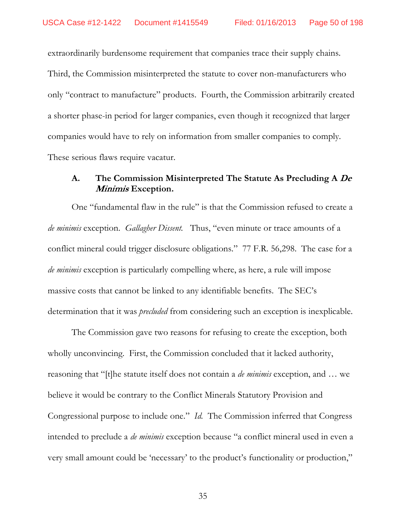extraordinarily burdensome requirement that companies trace their supply chains. Third, the Commission misinterpreted the statute to cover non-manufacturers who only "contract to manufacture" products. Fourth, the Commission arbitrarily created a shorter phase-in period for larger companies, even though it recognized that larger companies would have to rely on information from smaller companies to comply. These serious flaws require vacatur.

### A. The Commission Misinterpreted The Statute As Precluding A De *Minimis* Exception.

One "fundamental flaw in the rule" is that the Commission refused to create a *de minimis* exception. Gallagher Dissent. Thus, "even minute or trace amounts of a conflict mineral could trigger disclosure obligations." 77 F.R. 56,298. The case for a *de minimis* exception is particularly compelling where, as here, a rule will impose massive costs that cannot be linked to any identifiable benefits. The SEC's determination that it was *precluded* from considering such an exception is inexplicable.

The Commission gave two reasons for refusing to create the exception, both wholly unconvincing. First, the Commission concluded that it lacked authority, reasoning that "[t]he statute itself does not contain a *de minimis* exception, and ... we believe it would be contrary to the Conflict Minerals Statutory Provision and Congressional purpose to include one." *Id.* The Commission inferred that Congress intended to preclude a *de minimis* exception because "a conflict mineral used in even a very small amount could be 'necessary' to the product's functionality or production,"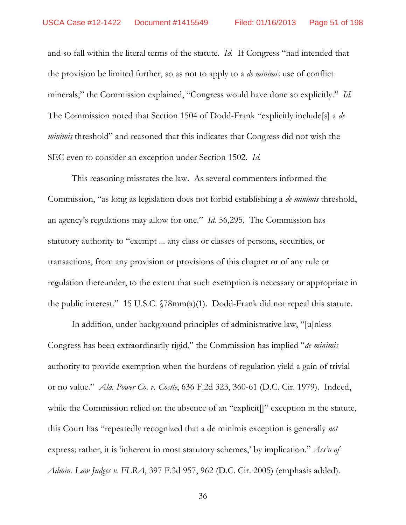and so fall within the literal terms of the statute. Id. If Congress "had intended that the provision be limited further, so as not to apply to a *de minimis* use of conflict minerals," the Commission explained, "Congress would have done so explicitly." Id. The Commission noted that Section 1504 of Dodd-Frank "explicitly include[s] a *de minimis* threshold" and reasoned that this indicates that Congress did not wish the SEC even to consider an exception under Section 1502. Id.

This reasoning misstates the law. As several commenters informed the Commission, "as long as legislation does not forbid establishing a *de minimis* threshold, an agency's regulations may allow for one." *Id.* 56,295. The Commission has statutory authority to "exempt ... any class or classes of persons, securities, or transactions, from any provision or provisions of this chapter or of any rule or regulation thereunder, to the extent that such exemption is necessary or appropriate in the public interest." 15 U.S.C.  $\sqrt{78mm(a)(1)}$ . Dodd-Frank did not repeal this statute.

In addition, under background principles of administrative law, "[u]nless Congress has been extraordinarily rigid," the Commission has implied "*de minimis* authority to provide exemption when the burdens of regulation yield a gain of trivial or no value." Ala. Power Co. v. Costle, 636 F.2d 323, 360-61 (D.C. Cir. 1979). Indeed, while the Commission relied on the absence of an "explicit]" exception in the statute, this Court has "repeatedly recognized that a de minimis exception is generally *not* express; rather, it is 'inherent in most statutory schemes,' by implication." Ass'n of Admin. Law Judges v. FLRA, 397 F.3d 957, 962 (D.C. Cir. 2005) (emphasis added).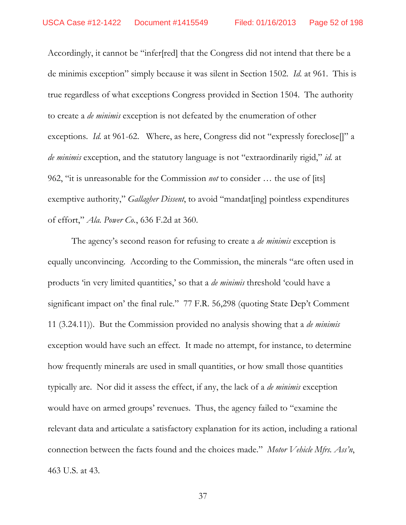Accordingly, it cannot be "infer[red] that the Congress did not intend that there be a de minimis exception" simply because it was silent in Section 1502. Id. at 961. This is true regardless of what exceptions Congress provided in Section 1504. The authority to create a *de minimis* exception is not defeated by the enumeration of other exceptions. *Id.* at 961-62. Where, as here, Congress did not "expressly foreclose." a *de minimis* exception, and the statutory language is not "extraordinarily rigid," *id.* at 962, "it is unreasonable for the Commission *not* to consider ... the use of [its] exemptive authority," Gallagher Dissent, to avoid "mandat[ing] pointless expenditures of effort," Ala. Power Co., 636 F.2d at 360.

The agency's second reason for refusing to create a *de minimis* exception is equally unconvincing. According to the Commission, the minerals "are often used in products 'in very limited quantities,' so that a *de minimis* threshold 'could have a significant impact on' the final rule." 77 F.R. 56,298 (quoting State Dep't Comment 11 (3.24.11)). But the Commission provided no analysis showing that a *de minimis* exception would have such an effect. It made no attempt, for instance, to determine how frequently minerals are used in small quantities, or how small those quantities typically are. Nor did it assess the effect, if any, the lack of a *de minimis* exception would have on armed groups' revenues. Thus, the agency failed to "examine the relevant data and articulate a satisfactory explanation for its action, including a rational connection between the facts found and the choices made." Motor Vehicle Mfrs. Ass'n, 463 U.S. at 43.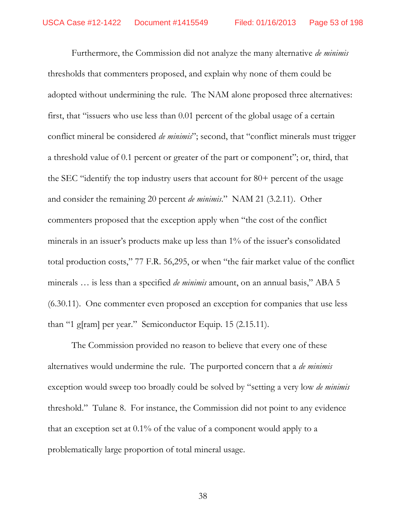Furthermore, the Commission did not analyze the many alternative *de minimis* thresholds that commenters proposed, and explain why none of them could be adopted without undermining the rule. The NAM alone proposed three alternatives: first, that "issuers who use less than 0.01 percent of the global usage of a certain conflict mineral be considered *de minimis*"; second, that "conflict minerals must trigger a threshold value of 0.1 percent or greater of the part or component"; or, third, that the SEC "identify the top industry users that account for 80+ percent of the usage and consider the remaining 20 percent de minimis." NAM 21 (3.2.11). Other commenters proposed that the exception apply when "the cost of the conflict" minerals in an issuer's products make up less than 1% of the issuer's consolidated total production costs," 77 F.R. 56,295, or when "the fair market value of the conflict minerals ... is less than a specified *de minimis* amount, on an annual basis," ABA 5 (6.30.11). One commenter even proposed an exception for companies that use less than "1 g[ram] per year." Semiconductor Equip. 15 (2.15.11).

The Commission provided no reason to believe that every one of these alternatives would undermine the rule. The purported concern that a *de minimis* exception would sweep too broadly could be solved by "setting a very low *de minimis* threshold." Tulane 8. For instance, the Commission did not point to any evidence that an exception set at  $0.1\%$  of the value of a component would apply to a problematically large proportion of total mineral usage.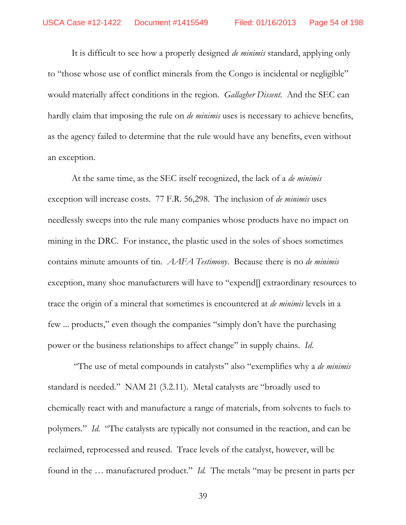It is difficult to see how a properly designed *de minimis* standard, applying only to "those whose use of conflict minerals from the Congo is incidental or negligible" would materially affect conditions in the region. *Gallagher Dissent*. And the SEC can hardly claim that imposing the rule on *de minimis* uses is necessary to achieve benefits, as the agency failed to determine that the rule would have any benefits, even without an exception.

At the same time, as the SEC itself recognized, the lack of a *de minimis* exception will increase costs. 77 F.R. 56,298. The inclusion of *de minimis* uses needlessly sweeps into the rule many companies whose products have no impact on mining in the DRC. For instance, the plastic used in the soles of shoes sometimes contains minute amounts of tin. *AAFA Testimony*. Because there is no *de minimis* exception, many shoe manufacturers will have to "expend<sup>[]</sup> extraordinary resources to trace the origin of a mineral that sometimes is encountered at *de minimis* levels in a few ... products," even though the companies "simply don't have the purchasing power or the business relationships to affect change" in supply chains. *Id.* 

"The use of metal compounds in catalysts" also "exemplifies why a *de minimis* standard is needed." NAM 21 (3.2.11). Metal catalysts are "broadly used to chemically react with and manufacture a range of materials, from solvents to fuels to polymers." *Id.* "The catalysts are typically not consumed in the reaction, and can be reclaimed, reprocessed and reused. Trace levels of the catalyst, however, will be found in the ... manufactured product." *Id.* The metals "may be present in parts per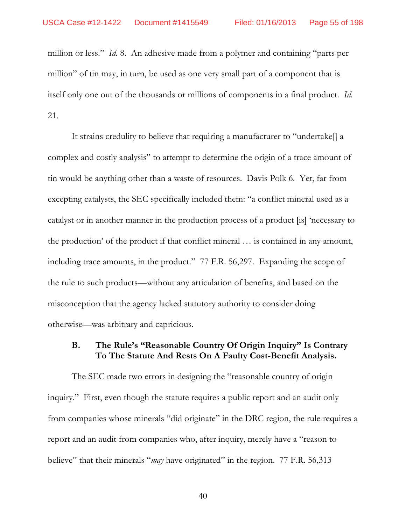million or less." *Id.* 8. An adhesive made from a polymer and containing "parts per million" of tin may, in turn, be used as one very small part of a component that is itself only one out of the thousands or millions of components in a final product. Id. 21.

It strains credulity to believe that requiring a manufacturer to "undertake. complex and costly analysis" to attempt to determine the origin of a trace amount of tin would be anything other than a waste of resources. Davis Polk 6. Yet, far from excepting catalysts, the SEC specifically included them: "a conflict mineral used as a catalyst or in another manner in the production process of a product [is] 'necessary to the production' of the product if that conflict mineral ... is contained in any amount, including trace amounts, in the product." 77 F.R. 56,297. Expanding the scope of the rule to such products—without any articulation of benefits, and based on the misconception that the agency lacked statutory authority to consider doing otherwise—was arbitrary and capricious.

#### **B.** The Rule's "Reasonable Country Of Origin Inquiry" Is Contrary To The Statute And Rests On A Faulty Cost-Benefit Analysis.

The SEC made two errors in designing the "reasonable country of origin inquiry." First, even though the statute requires a public report and an audit only from companies whose minerals "did originate" in the DRC region, the rule requires a report and an audit from companies who, after inquiry, merely have a "reason to believe" that their minerals "*may* have originated" in the region. 77 F.R. 56,313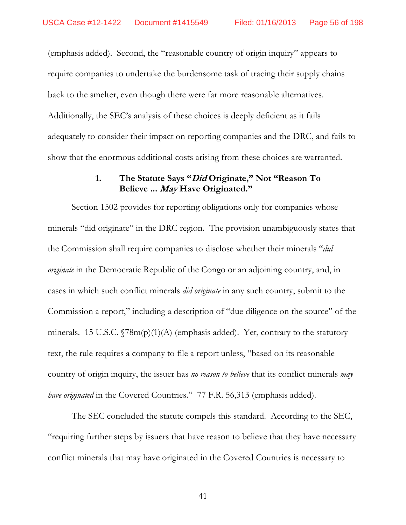(emphasis added). Second, the "reasonable country of origin inquiry" appears to require companies to undertake the burdensome task of tracing their supply chains back to the smelter, even though there were far more reasonable alternatives. Additionally, the SEC's analysis of these choices is deeply deficient as it fails adequately to consider their impact on reporting companies and the DRC, and fails to show that the enormous additional costs arising from these choices are warranted.

# 1. The Statute Says "*Did* Originate," Not "Reason To **Believe ... Have Originated.**

Section 1502 provides for reporting obligations only for companies whose minerals "did originate" in the DRC region. The provision unambiguously states that the Commission shall require companies to disclose whether their minerals "*did originate* in the Democratic Republic of the Congo or an adjoining country, and, in cases in which such conflict minerals *did originate* in any such country, submit to the Commission a report," including a description of "due diligence on the source" of the minerals. 15 U.S.C.  $\sqrt{78m(p)(1)}$  (emphasis added). Yet, contrary to the statutory text, the rule requires a company to file a report unless, "based on its reasonable country of origin inquiry, the issuer has *no reason to believe* that its conflict minerals *may have originated* in the Covered Countries." 77 F.R. 56,313 (emphasis added).

The SEC concluded the statute compels this standard. According to the SEC, requiring further steps by issuers that have reason to believe that they have necessary conflict minerals that may have originated in the Covered Countries is necessary to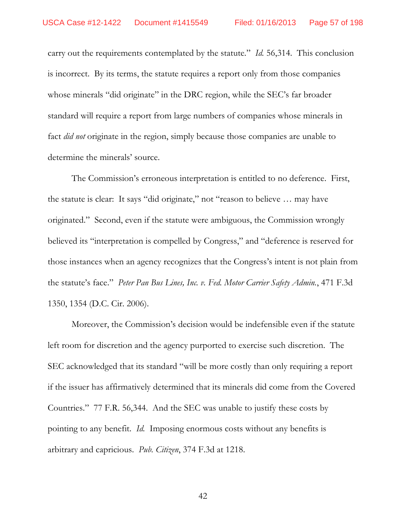carry out the requirements contemplated by the statute." *Id.* 56,314. This conclusion is incorrect. By its terms, the statute requires a report only from those companies whose minerals "did originate" in the DRC region, while the SEC's far broader standard will require a report from large numbers of companies whose minerals in fact *did not* originate in the region, simply because those companies are unable to determine the minerals' source.

The Commission's erroneous interpretation is entitled to no deference. First, the statute is clear: It says "did originate," not "reason to believe ... may have originated." Second, even if the statute were ambiguous, the Commission wrongly believed its "interpretation is compelled by Congress," and "deference is reserved for those instances when an agency recognizes that the Congress's intent is not plain from the statute's face." Peter Pan Bus Lines, Inc. v. Fed. Motor Carrier Safety Admin., 471 F.3d 1350, 1354 (D.C. Cir. 2006).

Moreover, the Commission's decision would be indefensible even if the statute left room for discretion and the agency purported to exercise such discretion. The SEC acknowledged that its standard "will be more costly than only requiring a report if the issuer has affirmatively determined that its minerals did come from the Covered Countries." 77 F.R. 56,344. And the SEC was unable to justify these costs by pointing to any benefit. *Id.* Imposing enormous costs without any benefits is arbitrary and capricious. Pub. Citizen, 374 F.3d at 1218.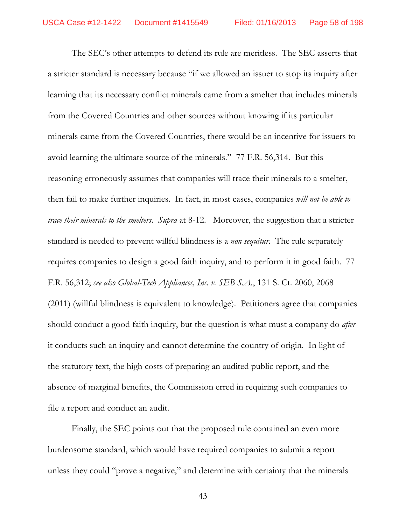The SEC's other attempts to defend its rule are meritless. The SEC asserts that a stricter standard is necessary because "if we allowed an issuer to stop its inquiry after learning that its necessary conflict minerals came from a smelter that includes minerals from the Covered Countries and other sources without knowing if its particular minerals came from the Covered Countries, there would be an incentive for issuers to avoid learning the ultimate source of the minerals." 77 F.R. 56,314. But this reasoning erroneously assumes that companies will trace their minerals to a smelter, then fail to make further inquiries. In fact, in most cases, companies *will not be able to trace their minerals to the smelters*. *Supra* at 8-12. Moreover, the suggestion that a stricter standard is needed to prevent willful blindness is a *non sequitur*. The rule separately requires companies to design a good faith inquiry, and to perform it in good faith. 77 F.R. 56,312; *see also Global-Tech Appliances, Inc. v. SEB S.A.*, 131 S. Ct. 2060, 2068 (2011) (willful blindness is equivalent to knowledge). Petitioners agree that companies should conduct a good faith inquiry, but the question is what must a company do *after* it conducts such an inquiry and cannot determine the country of origin. In light of the statutory text, the high costs of preparing an audited public report, and the absence of marginal benefits, the Commission erred in requiring such companies to file a report and conduct an audit.

Finally, the SEC points out that the proposed rule contained an even more burdensome standard, which would have required companies to submit a report unless they could "prove a negative," and determine with certainty that the minerals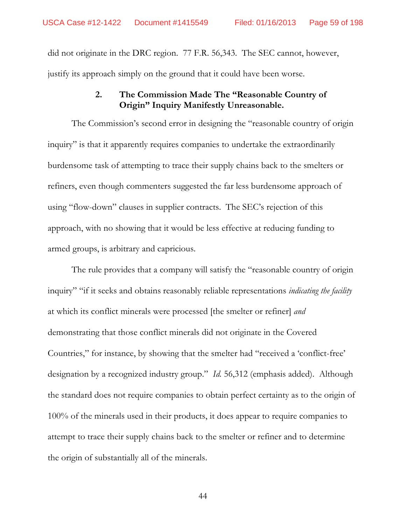did not originate in the DRC region. 77 F.R. 56,343. The SEC cannot, however, justify its approach simply on the ground that it could have been worse.

### $2.$ The Commission Made The "Reasonable Country of Origin" Inquiry Manifestly Unreasonable.

The Commission's second error in designing the "reasonable country of origin inquiry" is that it apparently requires companies to undertake the extraordinarily burdensome task of attempting to trace their supply chains back to the smelters or refiners, even though commenters suggested the far less burdensome approach of using "flow-down" clauses in supplier contracts. The SEC's rejection of this approach, with no showing that it would be less effective at reducing funding to armed groups, is arbitrary and capricious.

The rule provides that a company will satisfy the "reasonable country of origin inquiry" "if it seeks and obtains reasonably reliable representations *indicating the facility* at which its conflict minerals were processed [the smelter or refiner] and demonstrating that those conflict minerals did not originate in the Covered Countries," for instance, by showing that the smelter had "received a 'conflict-free' designation by a recognized industry group." Id. 56,312 (emphasis added). Although the standard does not require companies to obtain perfect certainty as to the origin of 100% of the minerals used in their products, it does appear to require companies to attempt to trace their supply chains back to the smelter or refiner and to determine the origin of substantially all of the minerals.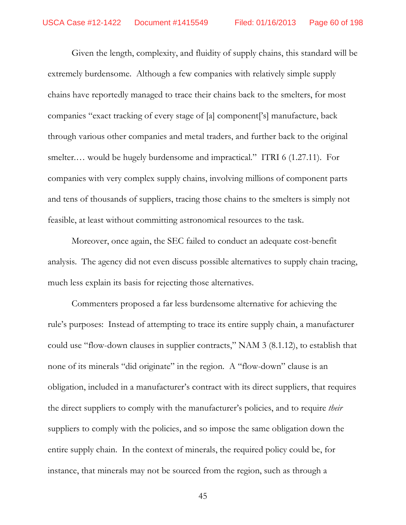Given the length, complexity, and fluidity of supply chains, this standard will be extremely burdensome. Although a few companies with relatively simple supply chains have reportedly managed to trace their chains back to the smelters, for most companies "exact tracking of every stage of [a] component['s] manufacture, back through various other companies and metal traders, and further back to the original smelter.... would be hugely burdensome and impractical." ITRI 6  $(1.27.11)$ . For companies with very complex supply chains, involving millions of component parts and tens of thousands of suppliers, tracing those chains to the smelters is simply not feasible, at least without committing astronomical resources to the task.

Moreover, once again, the SEC failed to conduct an adequate cost-benefit analysis. The agency did not even discuss possible alternatives to supply chain tracing, much less explain its basis for rejecting those alternatives.

Commenters proposed a far less burdensome alternative for achieving the rule's purposes: Instead of attempting to trace its entire supply chain, a manufacturer could use "flow-down clauses in supplier contracts," NAM 3 (8.1.12), to establish that none of its minerals "did originate" in the region. A "flow-down" clause is an obligation, included in a manufacturer's contract with its direct suppliers, that requires the direct suppliers to comply with the manufacturer's policies, and to require *their* suppliers to comply with the policies, and so impose the same obligation down the entire supply chain. In the context of minerals, the required policy could be, for instance, that minerals may not be sourced from the region, such as through a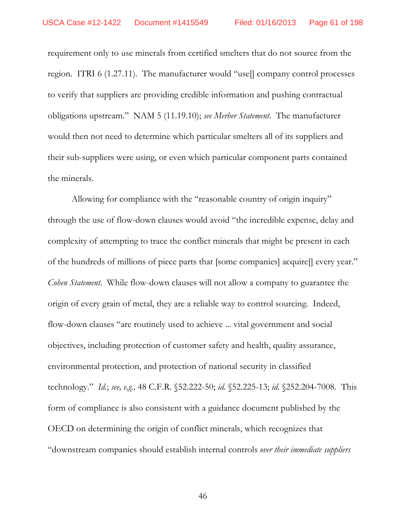requirement only to use minerals from certified smelters that do not source from the region. ITRI 6 (1.27.11). The manufacturer would "use $\parallel$  company control processes to verify that suppliers are providing credible information and pushing contractual obligations upstream. NAM 5 (11.19.10); *see Merber Statement*. The manufacturer would then not need to determine which particular smelters all of its suppliers and their sub-suppliers were using, or even which particular component parts contained the minerals.

Allowing for compliance with the "reasonable country of origin inquiry" through the use of flow-down clauses would avoid "the incredible expense, delay and complexity of attempting to trace the conflict minerals that might be present in each of the hundreds of millions of piece parts that [some companies] acquire[] every year. *Cohen Statement*. While flow-down clauses will not allow a company to guarantee the origin of every grain of metal, they are a reliable way to control sourcing. Indeed, flow-down clauses "are routinely used to achieve ... vital government and social objectives, including protection of customer safety and health, quality assurance, environmental protection, and protection of national security in classified technology." *Id.*; *see, e.g.*, 48 C.F.R. §52.222-50; *id.* §52.225-13; *id.* §252.204-7008. This form of compliance is also consistent with a guidance document published by the OECD on determining the origin of conflict minerals, which recognizes that downstream companies should establish internal controls *over their immediate suppliers*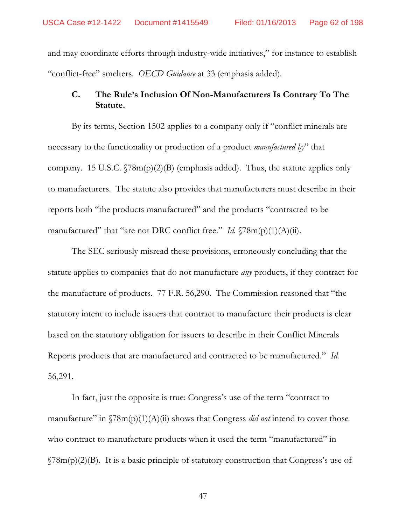and may coordinate efforts through industry-wide initiatives," for instance to establish "conflict-free" smelters. *OECD Guidance* at 33 (emphasis added).

# **C. The Rules Inclusion Of Non-Manufacturers Is Contrary To The Statute.**

By its terms, Section 1502 applies to a company only if "conflict minerals are necessary to the functionality or production of a product *manufactured by* that company. 15 U.S.C.  $\sqrt{78m(p)(2)}$  (B) (emphasis added). Thus, the statute applies only to manufacturers. The statute also provides that manufacturers must describe in their reports both "the products manufactured" and the products "contracted to be manufactured" that "are not DRC conflict free."  $Id. \$  $78m(p)(1)(A)(ii)$ .

The SEC seriously misread these provisions, erroneously concluding that the statute applies to companies that do not manufacture *any* products, if they contract for the manufacture of products. 77 F.R. 56,290. The Commission reasoned that "the statutory intent to include issuers that contract to manufacture their products is clear based on the statutory obligation for issuers to describe in their Conflict Minerals Reports products that are manufactured and contracted to be manufactured." Id. 56,291.

In fact, just the opposite is true: Congress's use of the term "contract to manufacture" in  $\Im 8m(p)(1)(A)(ii)$  shows that Congress *did not* intend to cover those who contract to manufacture products when it used the term "manufactured" in  $\gamma(78m(p)(2)(B)$ . It is a basic principle of statutory construction that Congress's use of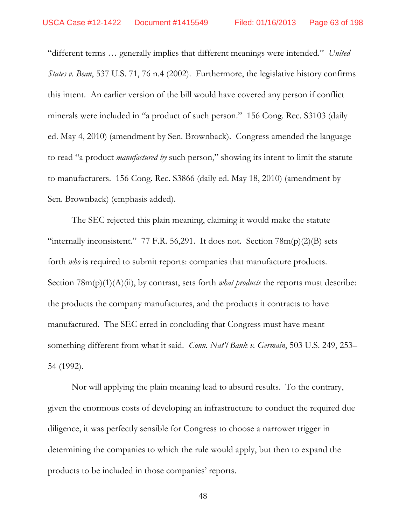"different terms ... generally implies that different meanings were intended." United *States v. Bean*, 537 U.S. 71, 76 n.4 (2002). Furthermore, the legislative history confirms this intent. An earlier version of the bill would have covered any person if conflict minerals were included in "a product of such person." 156 Cong. Rec. S3103 (daily ed. May 4, 2010) (amendment by Sen. Brownback). Congress amended the language to read "a product *manufactured by* such person," showing its intent to limit the statute to manufacturers. 156 Cong. Rec. S3866 (daily ed. May 18, 2010) (amendment by Sen. Brownback) (emphasis added).

The SEC rejected this plain meaning, claiming it would make the statute "internally inconsistent." 77 F.R. 56,291. It does not. Section  $78m(p)(2)(B)$  sets forth *who* is required to submit reports: companies that manufacture products. Section 78m(p)(1)(A)(ii), by contrast, sets forth *what products* the reports must describe: the products the company manufactures, and the products it contracts to have manufactured. The SEC erred in concluding that Congress must have meant something different from what it said. *Conn. Natl Bank v. Germain*, 503 U.S. 249, 253 54 (1992).

Nor will applying the plain meaning lead to absurd results. To the contrary, given the enormous costs of developing an infrastructure to conduct the required due diligence, it was perfectly sensible for Congress to choose a narrower trigger in determining the companies to which the rule would apply, but then to expand the products to be included in those companies' reports.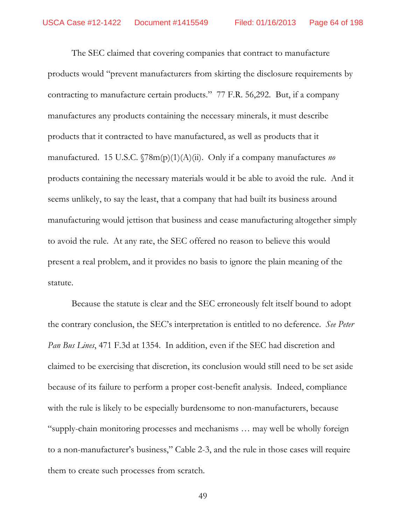The SEC claimed that covering companies that contract to manufacture products would "prevent manufacturers from skirting the disclosure requirements by contracting to manufacture certain products." 77 F.R. 56,292. But, if a company manufactures any products containing the necessary minerals, it must describe products that it contracted to have manufactured, as well as products that it manufactured. 15 U.S.C.  $\sqrt{78m(p)(1)(A)(ii)}$ . Only if a company manufactures no products containing the necessary materials would it be able to avoid the rule. And it seems unlikely, to say the least, that a company that had built its business around manufacturing would jettison that business and cease manufacturing altogether simply to avoid the rule. At any rate, the SEC offered no reason to believe this would present a real problem, and it provides no basis to ignore the plain meaning of the statute.

Because the statute is clear and the SEC erroneously felt itself bound to adopt the contrary conclusion, the SEC's interpretation is entitled to no deference. See Peter Pan Bus Lines, 471 F.3d at 1354. In addition, even if the SEC had discretion and claimed to be exercising that discretion, its conclusion would still need to be set aside because of its failure to perform a proper cost-benefit analysis. Indeed, compliance with the rule is likely to be especially burdensome to non-manufacturers, because "supply-chain monitoring processes and mechanisms ... may well be wholly foreign to a non-manufacturer's business," Cable 2-3, and the rule in those cases will require them to create such processes from scratch.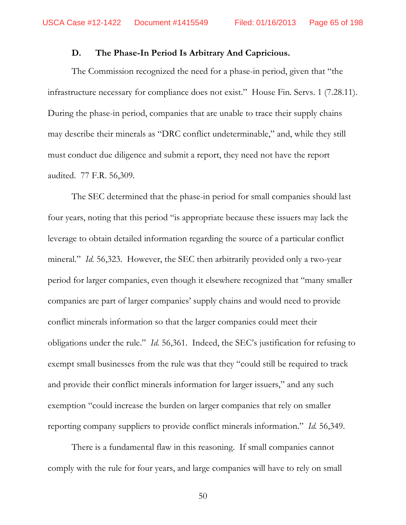#### D. The Phase-In Period Is Arbitrary And Capricious.

The Commission recognized the need for a phase-in period, given that "the infrastructure necessary for compliance does not exist." House Fin. Servs. 1 (7.28.11). During the phase-in period, companies that are unable to trace their supply chains may describe their minerals as "DRC conflict undeterminable," and, while they still must conduct due diligence and submit a report, they need not have the report audited. 77 F.R. 56,309.

The SEC determined that the phase-in period for small companies should last four years, noting that this period "is appropriate because these issuers may lack the leverage to obtain detailed information regarding the source of a particular conflict mineral." *Id.* 56,323. However, the SEC then arbitrarily provided only a two-year period for larger companies, even though it elsewhere recognized that "many smaller" companies are part of larger companies' supply chains and would need to provide conflict minerals information so that the larger companies could meet their obligations under the rule." *Id.* 56,361. Indeed, the SEC's justification for refusing to exempt small businesses from the rule was that they "could still be required to track and provide their conflict minerals information for larger issuers," and any such exemption "could increase the burden on larger companies that rely on smaller reporting company suppliers to provide conflict minerals information." Id. 56,349.

There is a fundamental flaw in this reasoning. If small companies cannot comply with the rule for four years, and large companies will have to rely on small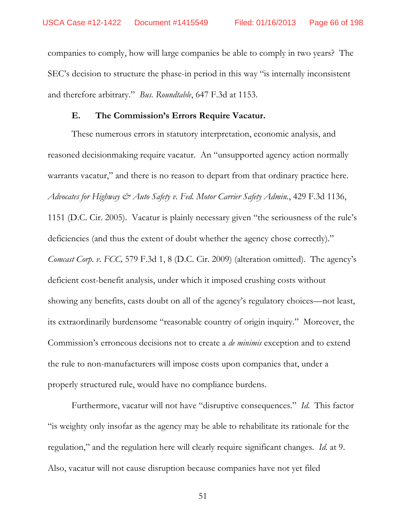companies to comply, how will large companies be able to comply in two years? The SEC's decision to structure the phase-in period in this way "is internally inconsistent and therefore arbitrary." Bus. Roundtable, 647 F.3d at 1153.

#### E. The Commission's Errors Require Vacatur.

These numerous errors in statutory interpretation, economic analysis, and reasoned decision making require vacatur. An "unsupported agency action normally warrants vacatur," and there is no reason to depart from that ordinary practice here. Advocates for Highway & Auto Safety v. Fed. Motor Carrier Safety Admin., 429 F.3d 1136, 1151 (D.C. Cir. 2005). Vacatur is plainly necessary given "the seriousness of the rule's deficiencies (and thus the extent of doubt whether the agency chose correctly)." *Comcast Corp. v. FCC,* 579 F.3d 1, 8 (D.C. Cir. 2009) (alteration omitted). The agency's deficient cost-benefit analysis, under which it imposed crushing costs without showing any benefits, casts doubt on all of the agency's regulatory choices—not least, its extraordinarily burdensome "reasonable country of origin inquiry." Moreover, the Commission's erroneous decisions not to create a *de minimis* exception and to extend the rule to non-manufacturers will impose costs upon companies that, under a properly structured rule, would have no compliance burdens.

Furthermore, vacatur will not have "disruptive consequences." Id. This factor "is weighty only insofar as the agency may be able to rehabilitate its rationale for the regulation," and the regulation here will clearly require significant changes. Id. at 9. Also, vacatur will not cause disruption because companies have not yet filed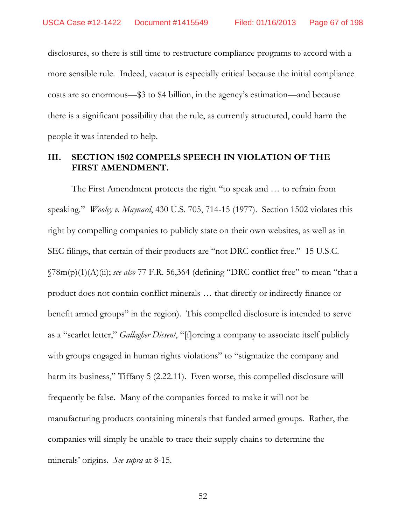disclosures, so there is still time to restructure compliance programs to accord with a more sensible rule. Indeed, vacatur is especially critical because the initial compliance costs are so enormous—\$3 to \$4 billion, in the agency's estimation—and because there is a significant possibility that the rule, as currently structured, could harm the people it was intended to help.

# **III. SECTION 1502 COMPELS SPEECH IN VIOLATION OF THE FIRST AMENDMENT.**

The First Amendment protects the right "to speak and ... to refrain from speaking." *Wooley v. Maynard*, 430 U.S. 705, 714-15 (1977). Section 1502 violates this right by compelling companies to publicly state on their own websites, as well as in SEC filings, that certain of their products are "not DRC conflict free." 15 U.S.C.  $\sqrt{78m(p)(1)(A)}$  *(ii)*; *see also* 77 F.R. 56,364 (defining "DRC conflict free" to mean "that a product does not contain conflict minerals ... that directly or indirectly finance or benefit armed groups" in the region). This compelled disclosure is intended to serve as a "scarlet letter," *Gallagher Dissent*, "[f]orcing a company to associate itself publicly with groups engaged in human rights violations" to "stigmatize the company and harm its business," Tiffany 5 (2.22.11). Even worse, this compelled disclosure will frequently be false. Many of the companies forced to make it will not be manufacturing products containing minerals that funded armed groups. Rather, the companies will simply be unable to trace their supply chains to determine the minerals' origins. See *supra* at 8-15.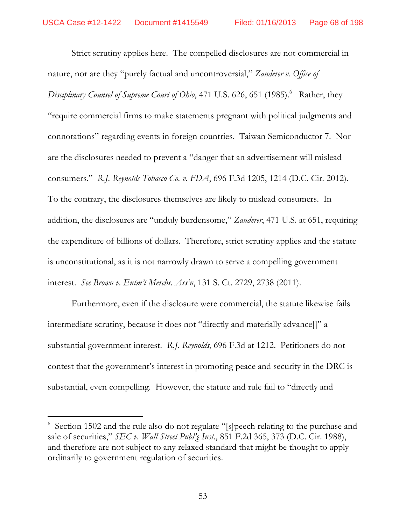Strict scrutiny applies here. The compelled disclosures are not commercial in nature, nor are they "purely factual and uncontroversial," Zauderer v. Office of Disciplinary Counsel of Supreme Court of Ohio, 471 U.S. 626, 651 (1985).<sup>6</sup> Rather, they "require commercial firms to make statements pregnant with political judgments and connotations" regarding events in foreign countries. Taiwan Semiconductor 7. Nor are the disclosures needed to prevent a "danger that an advertisement will mislead consumers." R.J. Reynolds Tobacco Co. v. FDA, 696 F.3d 1205, 1214 (D.C. Cir. 2012). To the contrary, the disclosures themselves are likely to mislead consumers. In addition, the disclosures are "unduly burdensome," Zauderer, 471 U.S. at 651, requiring the expenditure of billions of dollars. Therefore, strict scrutiny applies and the statute is unconstitutional, as it is not narrowly drawn to serve a compelling government interest. See Brown v. Entm't Merchs. Ass'n, 131 S. Ct. 2729, 2738 (2011).

Furthermore, even if the disclosure were commercial, the statute likewise fails intermediate scrutiny, because it does not "directly and materially advance]]" a substantial government interest. R.J. Reynolds, 696 F.3d at 1212. Petitioners do not contest that the government's interest in promoting peace and security in the DRC is substantial, even compelling. However, the statute and rule fail to "directly and

 $6$  Section 1502 and the rule also do not regulate "[s]peech relating to the purchase and sale of securities," SEC v. Wall Street Publ'g Inst., 851 F.2d 365, 373 (D.C. Cir. 1988), and therefore are not subject to any relaxed standard that might be thought to apply ordinarily to government regulation of securities.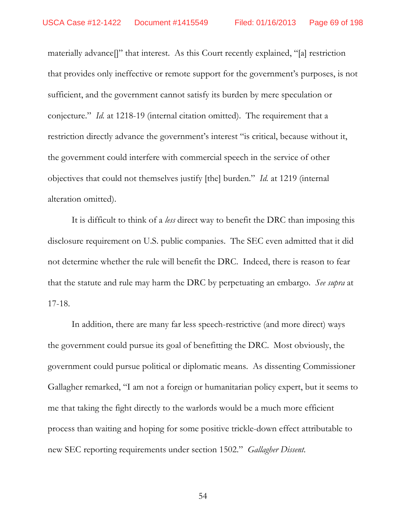materially advance []" that interest. As this Court recently explained, "[a] restriction that provides only ineffective or remote support for the government's purposes, is not sufficient, and the government cannot satisfy its burden by mere speculation or conjecture." *Id.* at 1218-19 (internal citation omitted). The requirement that a restriction directly advance the government's interest "is critical, because without it, the government could interfere with commercial speech in the service of other objectives that could not themselves justify [the] burden." *Id.* at 1219 (internal alteration omitted).

It is difficult to think of a *less* direct way to benefit the DRC than imposing this disclosure requirement on U.S. public companies. The SEC even admitted that it did not determine whether the rule will benefit the DRC. Indeed, there is reason to fear that the statute and rule may harm the DRC by perpetuating an embargo. See supra at  $17-18.$ 

In addition, there are many far less speech-restrictive (and more direct) ways the government could pursue its goal of benefitting the DRC. Most obviously, the government could pursue political or diplomatic means. As dissenting Commissioner Gallagher remarked, "I am not a foreign or humanitarian policy expert, but it seems to me that taking the fight directly to the warlords would be a much more efficient process than waiting and hoping for some positive trickle-down effect attributable to new SEC reporting requirements under section 1502." Gallagher Dissent.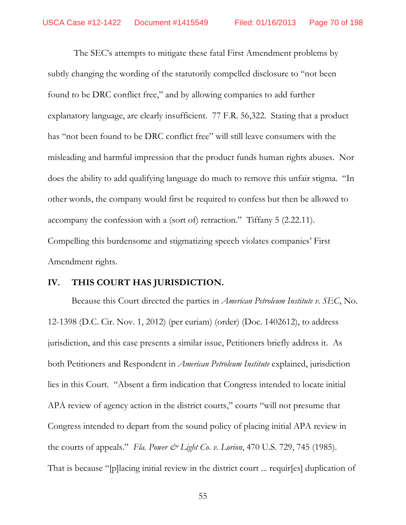The SEC's attempts to mitigate these fatal First Amendment problems by subtly changing the wording of the statutorily compelled disclosure to "not been found to be DRC conflict free," and by allowing companies to add further explanatory language, are clearly insufficient. 77 F.R. 56,322. Stating that a product has "not been found to be DRC conflict free" will still leave consumers with the misleading and harmful impression that the product funds human rights abuses. Nor does the ability to add qualifying language do much to remove this unfair stigma. "In other words, the company would first be required to confess but then be allowed to accompany the confession with a (sort of) retraction." Tiffany 5 (2.22.11). Compelling this burdensome and stigmatizing speech violates companies' First Amendment rights.

#### IV. THIS COURT HAS JURISDICTION.

Because this Court directed the parties in *American Petroleum Institute v. SEC*, No. 12-1398 (D.C. Cir. Nov. 1, 2012) (per curiam) (order) (Doc. 1402612), to address jurisdiction, and this case presents a similar issue, Petitioners briefly address it. As both Petitioners and Respondent in *American Petroleum Institute* explained, jurisdiction lies in this Court. "Absent a firm indication that Congress intended to locate initial APA review of agency action in the district courts," courts "will not presume that Congress intended to depart from the sound policy of placing initial APA review in the courts of appeals." Fla. Power & Light Co. v. Lorion, 470 U.S. 729, 745 (1985). That is because "[p]lacing initial review in the district court ... requir[es] duplication of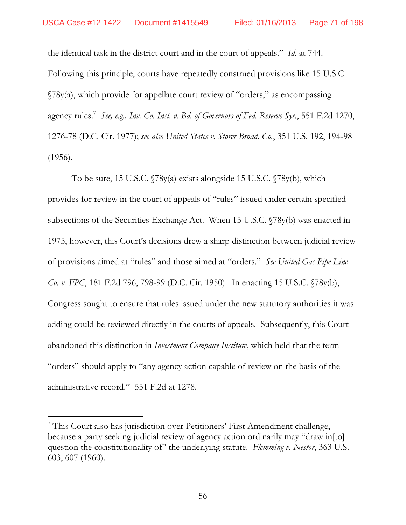the identical task in the district court and in the court of appeals." Id. at 744. Following this principle, courts have repeatedly construed provisions like 15 U.S.C.  $\sqrt{78y(a)}$ , which provide for appellate court review of "orders," as encompassing agency rules. See, e.g., Inv. Co. Inst. v. Bd. of Governors of Fed. Reserve Sys., 551 F.2d 1270, 1276-78 (D.C. Cir. 1977); see also United States v. Storer Broad. Co., 351 U.S. 192, 194-98  $(1956).$ 

To be sure, 15 U.S.C.  $\sqrt{78y(a)}$  exists alongside 15 U.S.C.  $\sqrt{78y(b)}$ , which provides for review in the court of appeals of "rules" issued under certain specified subsections of the Securities Exchange Act. When 15 U.S.C. (78y(b) was enacted in 1975, however, this Court's decisions drew a sharp distinction between judicial review of provisions aimed at "rules" and those aimed at "orders." See United Gas Pipe Line *Co. v. FPC*, 181 F.2d 796, 798-99 (D.C. Cir. 1950). In enacting 15 U.S.C. §78y(b), Congress sought to ensure that rules issued under the new statutory authorities it was adding could be reviewed directly in the courts of appeals. Subsequently, this Court abandoned this distinction in *Investment Company Institute*, which held that the term "orders" should apply to "any agency action capable of review on the basis of the administrative record." 551 F.2d at 1278.

<sup>&</sup>lt;sup>7</sup> This Court also has jurisdiction over Petitioners' First Amendment challenge, because a party seeking judicial review of agency action ordinarily may "draw in [to] question the constitutionality of" the underlying statute. Flemming v. Nestor, 363 U.S. 603, 607 (1960).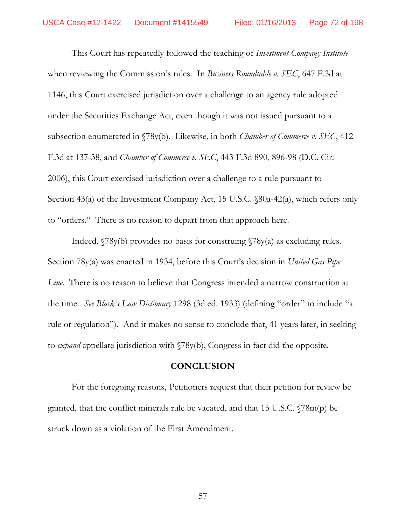This Court has repeatedly followed the teaching of *Investment Company Institute* when reviewing the Commission's rules. In Business Roundtable v. SEC, 647 F.3d at 1146, this Court exercised jurisdiction over a challenge to an agency rule adopted under the Securities Exchange Act, even though it was not issued pursuant to a subsection enumerated in §78y(b). Likewise, in both *Chamber of Commerce v. SEC*, 412 F.3d at 137-38, and *Chamber of Commerce v. SEC*, 443 F.3d 890, 896-98 (D.C. Cir. 2006), this Court exercised jurisdiction over a challenge to a rule pursuant to Section 43(a) of the Investment Company Act, 15 U.S.C. §80a-42(a), which refers only to "orders." There is no reason to depart from that approach here.

Indeed,  $\sqrt{78y(b)}$  provides no basis for construing  $\sqrt{78y(a)}$  as excluding rules. Section 78y(a) was enacted in 1934, before this Court's decision in United Gas Pipe *Line.* There is no reason to believe that Congress intended a narrow construction at the time. See Black's Law Dictionary 1298 (3d ed. 1933) (defining "order" to include "a rule or regulation"). And it makes no sense to conclude that, 41 years later, in seeking to *expand* appellate jurisdiction with  $\sqrt{78y(b)}$ , Congress in fact did the opposite.

## **CONCLUSION**

For the foregoing reasons, Petitioners request that their petition for review be granted, that the conflict minerals rule be vacated, and that 15 U.S.C.  $\sqrt{78m(p)}$  be struck down as a violation of the First Amendment.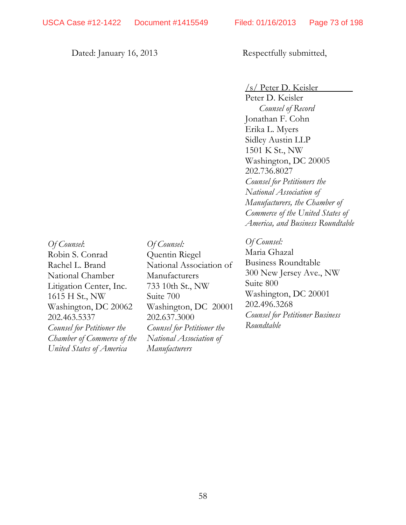## Dated: January 16, 2013

Respectfully submitted,

/s/ Peter D. Keisler

Peter D. Keisler Counsel of Record Jonathan F. Cohn Erika L. Myers Sidley Austin LLP 1501 K St., NW Washington, DC 20005 202.736.8027 **Counsel for Petitioners the** National Association of Manufacturers, the Chamber of Commerce of the United States of *America, and Business Roundtable* 

Of Counsel: Robin S. Conrad Rachel L. Brand National Chamber Litigation Center, Inc. 1615 H St., NW Washington, DC 20062 202.463.5337 **Counsel for Petitioner the** Chamber of Commerce of the United States of America

Of Counsel: Quentin Riegel National Association of Manufacturers 733 10th St., NW Suite 700 Washington, DC 20001 202.637.3000 **Counsel for Petitioner the** National Association of Manufacturers

## Of Counsel:

Maria Ghazal **Business Roundtable** 300 New Jersey Ave., NW Suite 800 Washington, DC 20001 202.496.3268 **Counsel for Petitioner Business** Roundtable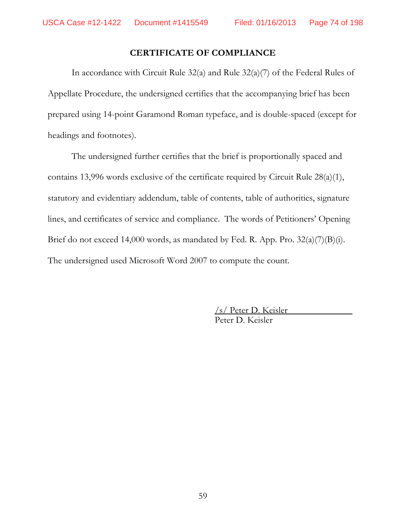## **CERTIFICATE OF COMPLIANCE**

In accordance with Circuit Rule 32(a) and Rule 32(a)(7) of the Federal Rules of Appellate Procedure, the undersigned certifies that the accompanying brief has been prepared using 14-point Garamond Roman typeface, and is double-spaced (except for headings and footnotes).

The undersigned further certifies that the brief is proportionally spaced and contains 13,996 words exclusive of the certificate required by Circuit Rule 28(a)(1), statutory and evidentiary addendum, table of contents, table of authorities, signature lines, and certificates of service and compliance. The words of Petitioners' Opening Brief do not exceed 14,000 words, as mandated by Fed. R. App. Pro. 32(a)(7)(B)(i). The undersigned used Microsoft Word 2007 to compute the count.

> /s/ Peter D. Keisler Peter D. Keisler